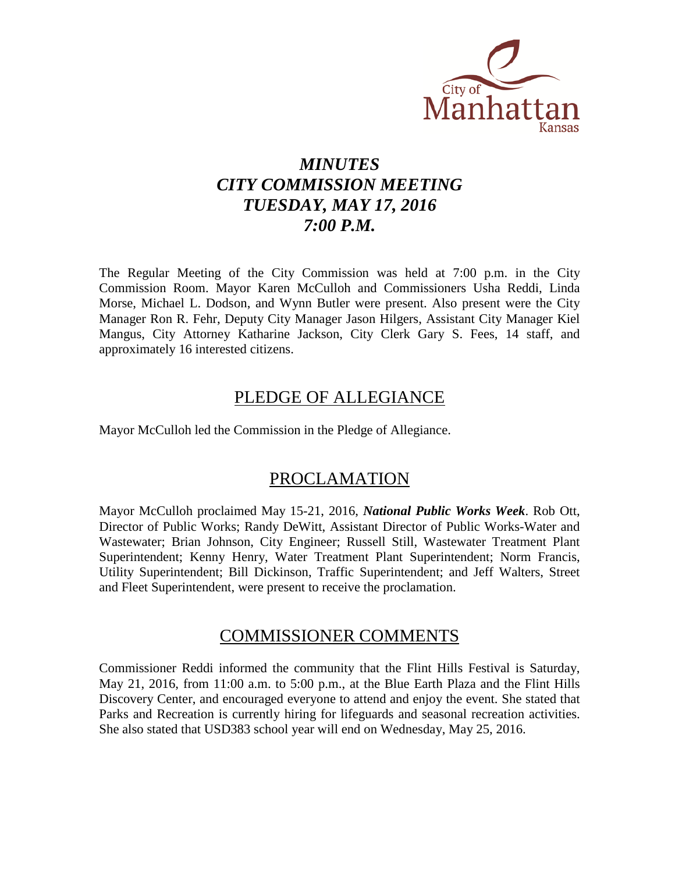

# *MINUTES CITY COMMISSION MEETING TUESDAY, MAY 17, 2016 7:00 P.M.*

The Regular Meeting of the City Commission was held at 7:00 p.m. in the City Commission Room. Mayor Karen McCulloh and Commissioners Usha Reddi, Linda Morse, Michael L. Dodson, and Wynn Butler were present. Also present were the City Manager Ron R. Fehr, Deputy City Manager Jason Hilgers, Assistant City Manager Kiel Mangus, City Attorney Katharine Jackson, City Clerk Gary S. Fees, 14 staff, and approximately 16 interested citizens.

# PLEDGE OF ALLEGIANCE

Mayor McCulloh led the Commission in the Pledge of Allegiance.

# PROCLAMATION

Mayor McCulloh proclaimed May 15-21, 2016, *National Public Works Week*. Rob Ott, Director of Public Works; Randy DeWitt, Assistant Director of Public Works-Water and Wastewater; Brian Johnson, City Engineer; Russell Still, Wastewater Treatment Plant Superintendent; Kenny Henry, Water Treatment Plant Superintendent; Norm Francis, Utility Superintendent; Bill Dickinson, Traffic Superintendent; and Jeff Walters, Street and Fleet Superintendent, were present to receive the proclamation.

# COMMISSIONER COMMENTS

Commissioner Reddi informed the community that the Flint Hills Festival is Saturday, May 21, 2016, from 11:00 a.m. to 5:00 p.m., at the Blue Earth Plaza and the Flint Hills Discovery Center, and encouraged everyone to attend and enjoy the event. She stated that Parks and Recreation is currently hiring for lifeguards and seasonal recreation activities. She also stated that USD383 school year will end on Wednesday, May 25, 2016.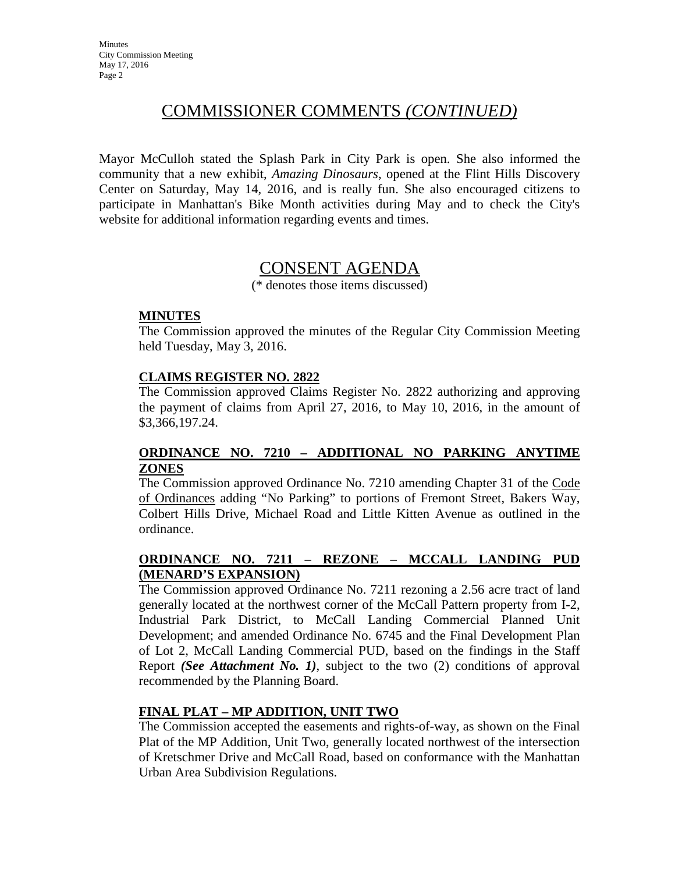# COMMISSIONER COMMENTS *(CONTINUED)*

Mayor McCulloh stated the Splash Park in City Park is open. She also informed the community that a new exhibit, *Amazing Dinosaurs*, opened at the Flint Hills Discovery Center on Saturday, May 14, 2016, and is really fun. She also encouraged citizens to participate in Manhattan's Bike Month activities during May and to check the City's website for additional information regarding events and times.

# CONSENT AGENDA

(\* denotes those items discussed)

#### **MINUTES**

The Commission approved the minutes of the Regular City Commission Meeting held Tuesday, May 3, 2016.

### **CLAIMS REGISTER NO. 2822**

The Commission approved Claims Register No. 2822 authorizing and approving the payment of claims from April 27, 2016, to May 10, 2016, in the amount of \$3,366,197.24.

### **ORDINANCE NO. 7210 – ADDITIONAL NO PARKING ANYTIME ZONES**

The Commission approved Ordinance No. 7210 amending Chapter 31 of the Code of Ordinances adding "No Parking" to portions of Fremont Street, Bakers Way, Colbert Hills Drive, Michael Road and Little Kitten Avenue as outlined in the ordinance.

### **ORDINANCE NO. 7211 – REZONE – MCCALL LANDING PUD (MENARD'S EXPANSION)**

The Commission approved Ordinance No. 7211 rezoning a 2.56 acre tract of land generally located at the northwest corner of the McCall Pattern property from I-2, Industrial Park District, to McCall Landing Commercial Planned Unit Development; and amended Ordinance No. 6745 and the Final Development Plan of Lot 2, McCall Landing Commercial PUD, based on the findings in the Staff Report *(See Attachment No. 1)*, subject to the two (2) conditions of approval recommended by the Planning Board.

## **FINAL PLAT – MP ADDITION, UNIT TWO**

The Commission accepted the easements and rights-of-way, as shown on the Final Plat of the MP Addition, Unit Two, generally located northwest of the intersection of Kretschmer Drive and McCall Road, based on conformance with the Manhattan Urban Area Subdivision Regulations.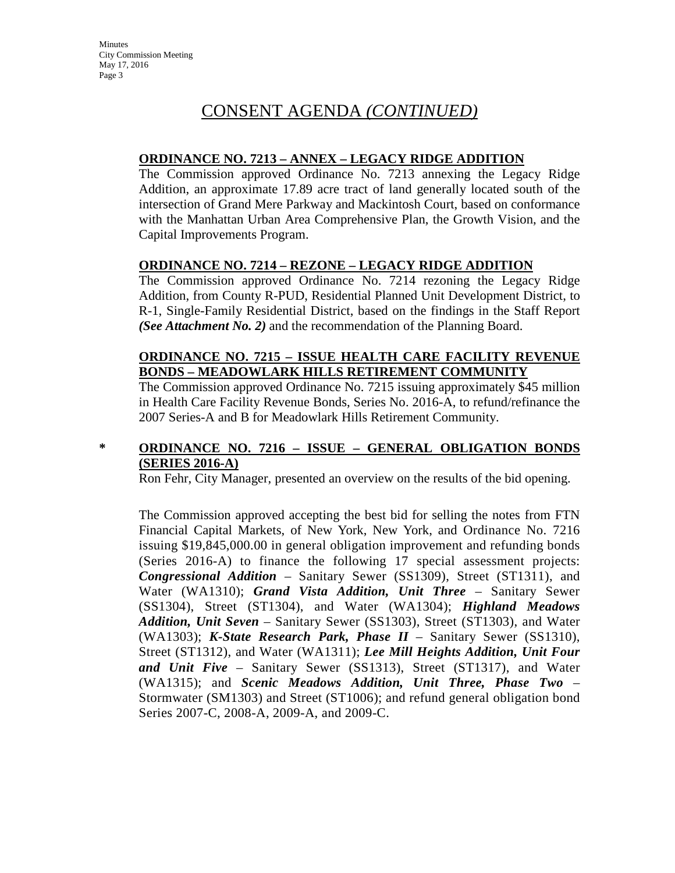## **ORDINANCE NO. 7213 – ANNEX – LEGACY RIDGE ADDITION**

The Commission approved Ordinance No. 7213 annexing the Legacy Ridge Addition, an approximate 17.89 acre tract of land generally located south of the intersection of Grand Mere Parkway and Mackintosh Court, based on conformance with the Manhattan Urban Area Comprehensive Plan, the Growth Vision, and the Capital Improvements Program.

## **ORDINANCE NO. 7214 – REZONE – LEGACY RIDGE ADDITION**

The Commission approved Ordinance No. 7214 rezoning the Legacy Ridge Addition, from County R-PUD, Residential Planned Unit Development District, to R-1, Single-Family Residential District, based on the findings in the Staff Report *(See Attachment No. 2)* and the recommendation of the Planning Board.

## **ORDINANCE NO. 7215 – ISSUE HEALTH CARE FACILITY REVENUE BONDS – MEADOWLARK HILLS RETIREMENT COMMUNITY**

The Commission approved Ordinance No. 7215 issuing approximately \$45 million in Health Care Facility Revenue Bonds, Series No. 2016-A, to refund/refinance the 2007 Series-A and B for Meadowlark Hills Retirement Community.

## **\* ORDINANCE NO. 7216 – ISSUE – GENERAL OBLIGATION BONDS (SERIES 2016-A)**

Ron Fehr, City Manager, presented an overview on the results of the bid opening.

The Commission approved accepting the best bid for selling the notes from FTN Financial Capital Markets, of New York, New York, and Ordinance No. 7216 issuing \$19,845,000.00 in general obligation improvement and refunding bonds (Series 2016-A) to finance the following 17 special assessment projects: *Congressional Addition* – Sanitary Sewer (SS1309), Street (ST1311), and Water (WA1310); *Grand Vista Addition, Unit Three* – Sanitary Sewer (SS1304), Street (ST1304), and Water (WA1304); *Highland Meadows Addition, Unit Seven* – Sanitary Sewer (SS1303), Street (ST1303), and Water (WA1303); *K-State Research Park, Phase II* – Sanitary Sewer (SS1310), Street (ST1312), and Water (WA1311); *Lee Mill Heights Addition, Unit Four and Unit Five* – Sanitary Sewer (SS1313), Street (ST1317), and Water (WA1315); and *Scenic Meadows Addition, Unit Three, Phase Two* – Stormwater (SM1303) and Street (ST1006); and refund general obligation bond Series 2007-C, 2008-A, 2009-A, and 2009-C.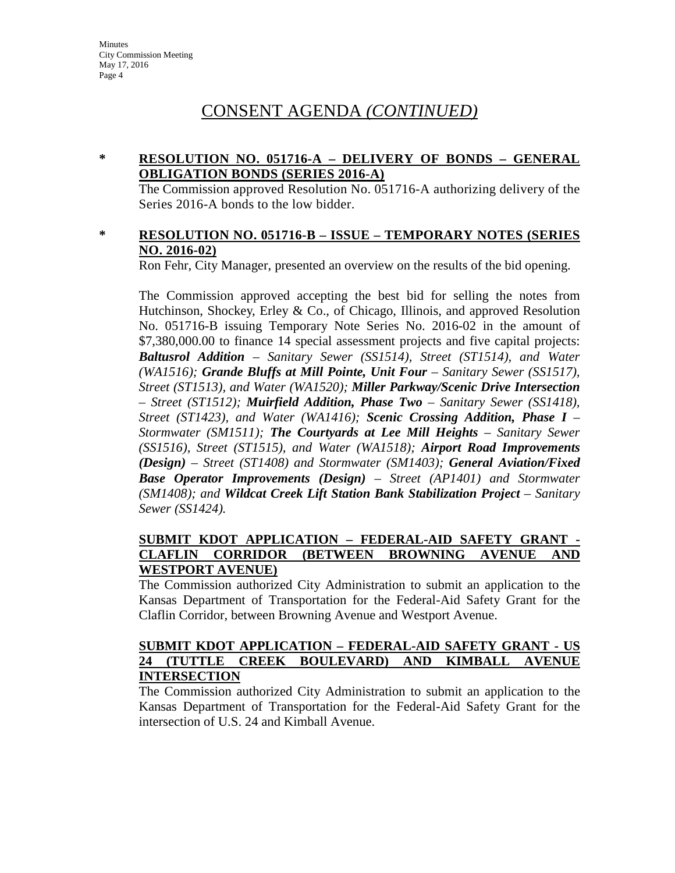### **\* RESOLUTION NO. 051716-A – DELIVERY OF BONDS – GENERAL OBLIGATION BONDS (SERIES 2016-A)**

The Commission approved Resolution No. 051716-A authorizing delivery of the Series 2016-A bonds to the low bidder.

### **\* RESOLUTION NO. 051716-B – ISSUE – TEMPORARY NOTES (SERIES NO. 2016-02)**

Ron Fehr, City Manager, presented an overview on the results of the bid opening.

The Commission approved accepting the best bid for selling the notes from Hutchinson, Shockey, Erley & Co., of Chicago, Illinois, and approved Resolution No. 051716-B issuing Temporary Note Series No. 2016-02 in the amount of \$7,380,000.00 to finance 14 special assessment projects and five capital projects: *Baltusrol Addition – Sanitary Sewer (SS1514), Street (ST1514), and Water (WA1516); Grande Bluffs at Mill Pointe, Unit Four – Sanitary Sewer (SS1517), Street (ST1513), and Water (WA1520); Miller Parkway/Scenic Drive Intersection – Street (ST1512); Muirfield Addition, Phase Two – Sanitary Sewer (SS1418), Street (ST1423), and Water (WA1416); Scenic Crossing Addition, Phase I – Stormwater (SM1511); The Courtyards at Lee Mill Heights – Sanitary Sewer (SS1516), Street (ST1515), and Water (WA1518); Airport Road Improvements (Design) – Street (ST1408) and Stormwater (SM1403); General Aviation/Fixed Base Operator Improvements (Design) – Street (AP1401) and Stormwater (SM1408); and Wildcat Creek Lift Station Bank Stabilization Project – Sanitary Sewer (SS1424).*

## **SUBMIT KDOT APPLICATION – FEDERAL-AID SAFETY GRANT - CLAFLIN CORRIDOR (BETWEEN BROWNING AVENUE AND WESTPORT AVENUE)**

The Commission authorized City Administration to submit an application to the Kansas Department of Transportation for the Federal-Aid Safety Grant for the Claflin Corridor, between Browning Avenue and Westport Avenue.

## **SUBMIT KDOT APPLICATION – FEDERAL-AID SAFETY GRANT - US 24 (TUTTLE CREEK BOULEVARD) AND KIMBALL AVENUE INTERSECTION**

The Commission authorized City Administration to submit an application to the Kansas Department of Transportation for the Federal-Aid Safety Grant for the intersection of U.S. 24 and Kimball Avenue.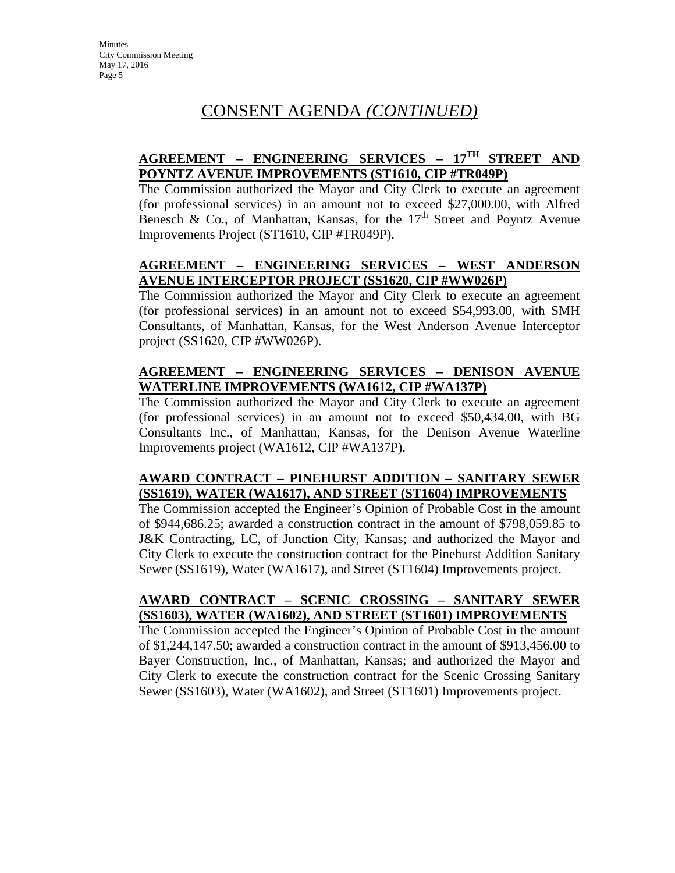## **AGREEMENT – ENGINEERING SERVICES – 17TH STREET AND POYNTZ AVENUE IMPROVEMENTS (ST1610, CIP #TR049P)**

The Commission authorized the Mayor and City Clerk to execute an agreement (for professional services) in an amount not to exceed \$27,000.00, with Alfred Benesch & Co., of Manhattan, Kansas, for the  $17<sup>th</sup>$  Street and Poyntz Avenue Improvements Project (ST1610, CIP #TR049P).

## **AGREEMENT – ENGINEERING SERVICES – WEST ANDERSON AVENUE INTERCEPTOR PROJECT (SS1620, CIP #WW026P)**

The Commission authorized the Mayor and City Clerk to execute an agreement (for professional services) in an amount not to exceed \$54,993.00, with SMH Consultants, of Manhattan, Kansas, for the West Anderson Avenue Interceptor project (SS1620, CIP #WW026P).

## **AGREEMENT – ENGINEERING SERVICES – DENISON AVENUE WATERLINE IMPROVEMENTS (WA1612, CIP #WA137P)**

The Commission authorized the Mayor and City Clerk to execute an agreement (for professional services) in an amount not to exceed \$50,434.00, with BG Consultants Inc., of Manhattan, Kansas, for the Denison Avenue Waterline Improvements project (WA1612, CIP #WA137P).

## **AWARD CONTRACT – PINEHURST ADDITION – SANITARY SEWER (SS1619), WATER (WA1617), AND STREET (ST1604) IMPROVEMENTS**

The Commission accepted the Engineer's Opinion of Probable Cost in the amount of \$944,686.25; awarded a construction contract in the amount of \$798,059.85 to J&K Contracting, LC, of Junction City, Kansas; and authorized the Mayor and City Clerk to execute the construction contract for the Pinehurst Addition Sanitary Sewer (SS1619), Water (WA1617), and Street (ST1604) Improvements project.

## **AWARD CONTRACT – SCENIC CROSSING – SANITARY SEWER (SS1603), WATER (WA1602), AND STREET (ST1601) IMPROVEMENTS**

The Commission accepted the Engineer's Opinion of Probable Cost in the amount of \$1,244,147.50; awarded a construction contract in the amount of \$913,456.00 to Bayer Construction, Inc., of Manhattan, Kansas; and authorized the Mayor and City Clerk to execute the construction contract for the Scenic Crossing Sanitary Sewer (SS1603), Water (WA1602), and Street (ST1601) Improvements project.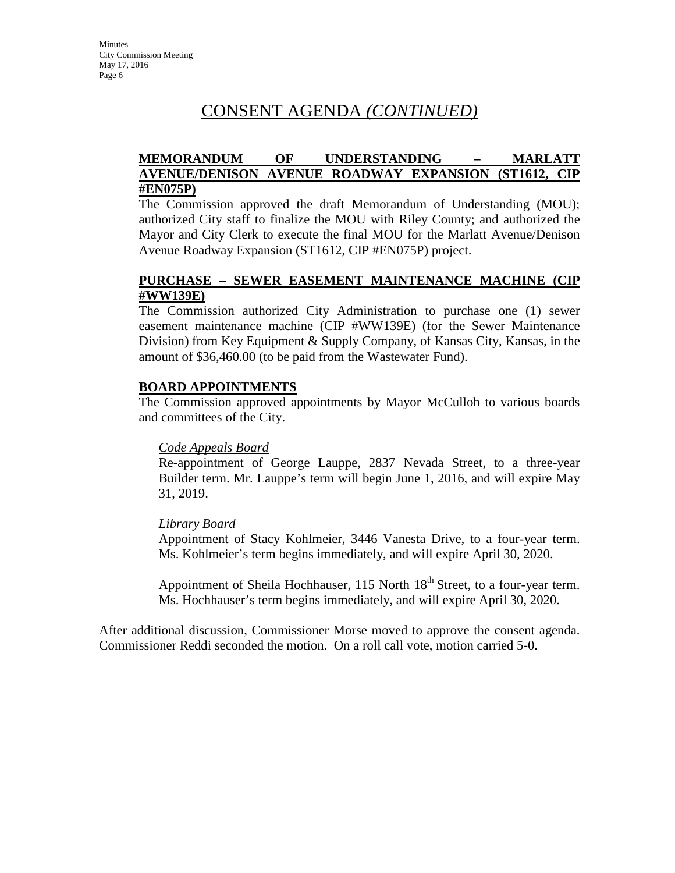## **MEMORANDUM OF UNDERSTANDING – MARLATT AVENUE/DENISON AVENUE ROADWAY EXPANSION (ST1612, CIP #EN075P)**

The Commission approved the draft Memorandum of Understanding (MOU); authorized City staff to finalize the MOU with Riley County; and authorized the Mayor and City Clerk to execute the final MOU for the Marlatt Avenue/Denison Avenue Roadway Expansion (ST1612, CIP #EN075P) project.

## **PURCHASE – SEWER EASEMENT MAINTENANCE MACHINE (CIP #WW139E)**

The Commission authorized City Administration to purchase one (1) sewer easement maintenance machine (CIP #WW139E) (for the Sewer Maintenance Division) from Key Equipment & Supply Company, of Kansas City, Kansas, in the amount of \$36,460.00 (to be paid from the Wastewater Fund).

#### **BOARD APPOINTMENTS**

The Commission approved appointments by Mayor McCulloh to various boards and committees of the City.

#### *Code Appeals Board*

Re-appointment of George Lauppe, 2837 Nevada Street, to a three-year Builder term. Mr. Lauppe's term will begin June 1, 2016, and will expire May 31, 2019.

## *Library Board*

Appointment of Stacy Kohlmeier, 3446 Vanesta Drive, to a four-year term. Ms. Kohlmeier's term begins immediately, and will expire April 30, 2020.

Appointment of Sheila Hochhauser, 115 North  $18<sup>th</sup>$  Street, to a four-year term. Ms. Hochhauser's term begins immediately, and will expire April 30, 2020.

After additional discussion, Commissioner Morse moved to approve the consent agenda. Commissioner Reddi seconded the motion. On a roll call vote, motion carried 5-0.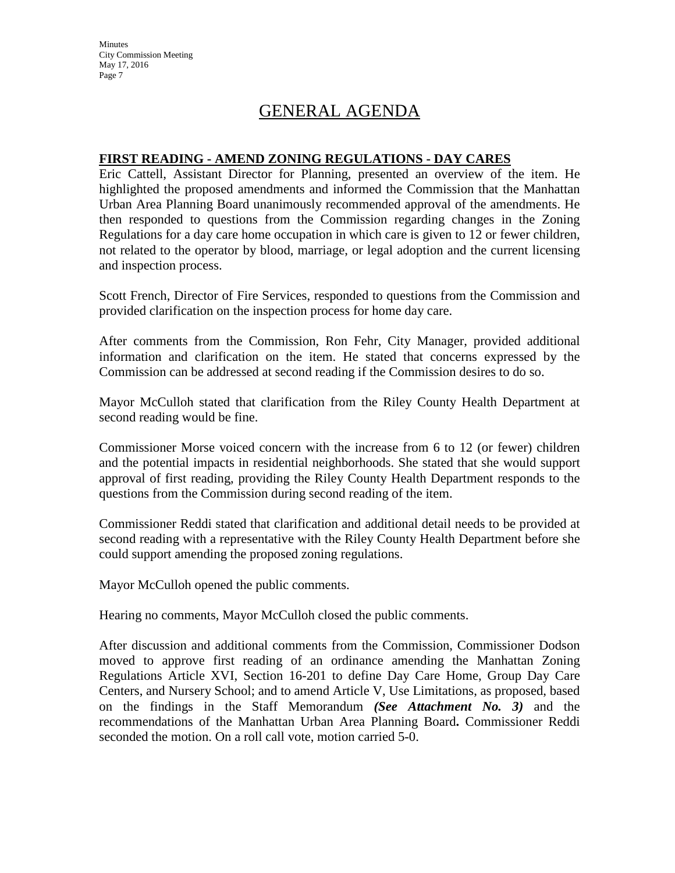**Minutes** City Commission Meeting May 17, 2016 Page 7

# GENERAL AGENDA

### **FIRST READING - AMEND ZONING REGULATIONS - DAY CARES**

Eric Cattell, Assistant Director for Planning, presented an overview of the item. He highlighted the proposed amendments and informed the Commission that the Manhattan Urban Area Planning Board unanimously recommended approval of the amendments. He then responded to questions from the Commission regarding changes in the Zoning Regulations for a day care home occupation in which care is given to 12 or fewer children, not related to the operator by blood, marriage, or legal adoption and the current licensing and inspection process.

Scott French, Director of Fire Services, responded to questions from the Commission and provided clarification on the inspection process for home day care.

After comments from the Commission, Ron Fehr, City Manager, provided additional information and clarification on the item. He stated that concerns expressed by the Commission can be addressed at second reading if the Commission desires to do so.

Mayor McCulloh stated that clarification from the Riley County Health Department at second reading would be fine.

Commissioner Morse voiced concern with the increase from 6 to 12 (or fewer) children and the potential impacts in residential neighborhoods. She stated that she would support approval of first reading, providing the Riley County Health Department responds to the questions from the Commission during second reading of the item.

Commissioner Reddi stated that clarification and additional detail needs to be provided at second reading with a representative with the Riley County Health Department before she could support amending the proposed zoning regulations.

Mayor McCulloh opened the public comments.

Hearing no comments, Mayor McCulloh closed the public comments.

After discussion and additional comments from the Commission, Commissioner Dodson moved to approve first reading of an ordinance amending the Manhattan Zoning Regulations Article XVI, Section 16-201 to define Day Care Home, Group Day Care Centers, and Nursery School; and to amend Article V, Use Limitations, as proposed, based on the findings in the Staff Memorandum *(See Attachment No. 3)* and the recommendations of the Manhattan Urban Area Planning Board**.** Commissioner Reddi seconded the motion. On a roll call vote, motion carried 5-0.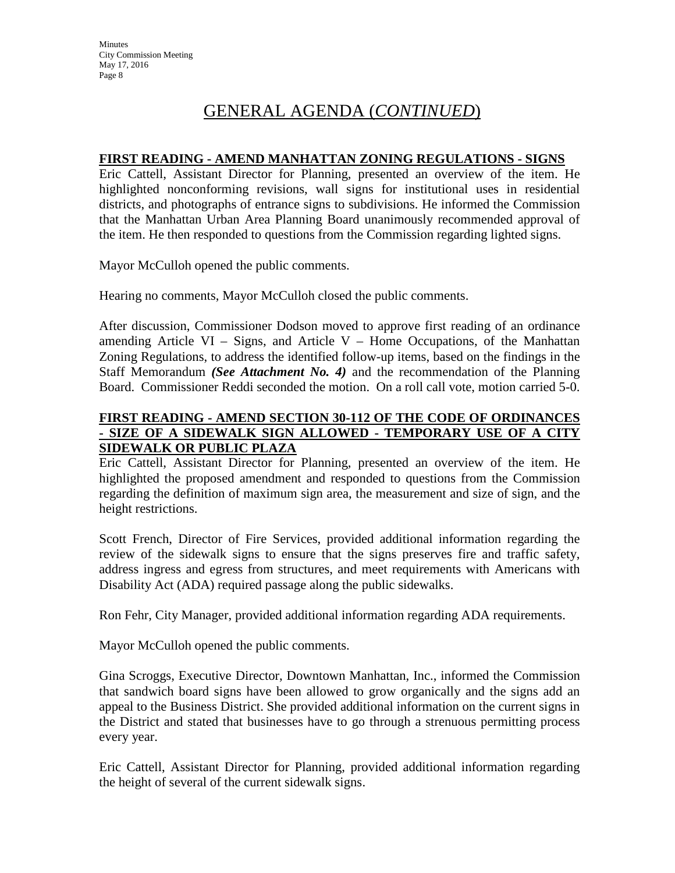# GENERAL AGENDA (*CONTINUED*)

## **FIRST READING - AMEND MANHATTAN ZONING REGULATIONS - SIGNS**

Eric Cattell, Assistant Director for Planning, presented an overview of the item. He highlighted nonconforming revisions, wall signs for institutional uses in residential districts, and photographs of entrance signs to subdivisions. He informed the Commission that the Manhattan Urban Area Planning Board unanimously recommended approval of the item. He then responded to questions from the Commission regarding lighted signs.

Mayor McCulloh opened the public comments.

Hearing no comments, Mayor McCulloh closed the public comments.

After discussion, Commissioner Dodson moved to approve first reading of an ordinance amending Article VI – Signs, and Article V – Home Occupations, of the Manhattan Zoning Regulations, to address the identified follow-up items, based on the findings in the Staff Memorandum *(See Attachment No. 4)* and the recommendation of the Planning Board. Commissioner Reddi seconded the motion. On a roll call vote, motion carried 5-0.

### **FIRST READING - AMEND SECTION 30-112 OF THE CODE OF ORDINANCES - SIZE OF A SIDEWALK SIGN ALLOWED - TEMPORARY USE OF A CITY SIDEWALK OR PUBLIC PLAZA**

Eric Cattell, Assistant Director for Planning, presented an overview of the item. He highlighted the proposed amendment and responded to questions from the Commission regarding the definition of maximum sign area, the measurement and size of sign, and the height restrictions.

Scott French, Director of Fire Services, provided additional information regarding the review of the sidewalk signs to ensure that the signs preserves fire and traffic safety, address ingress and egress from structures, and meet requirements with Americans with Disability Act (ADA) required passage along the public sidewalks.

Ron Fehr, City Manager, provided additional information regarding ADA requirements.

Mayor McCulloh opened the public comments.

Gina Scroggs, Executive Director, Downtown Manhattan, Inc., informed the Commission that sandwich board signs have been allowed to grow organically and the signs add an appeal to the Business District. She provided additional information on the current signs in the District and stated that businesses have to go through a strenuous permitting process every year.

Eric Cattell, Assistant Director for Planning, provided additional information regarding the height of several of the current sidewalk signs.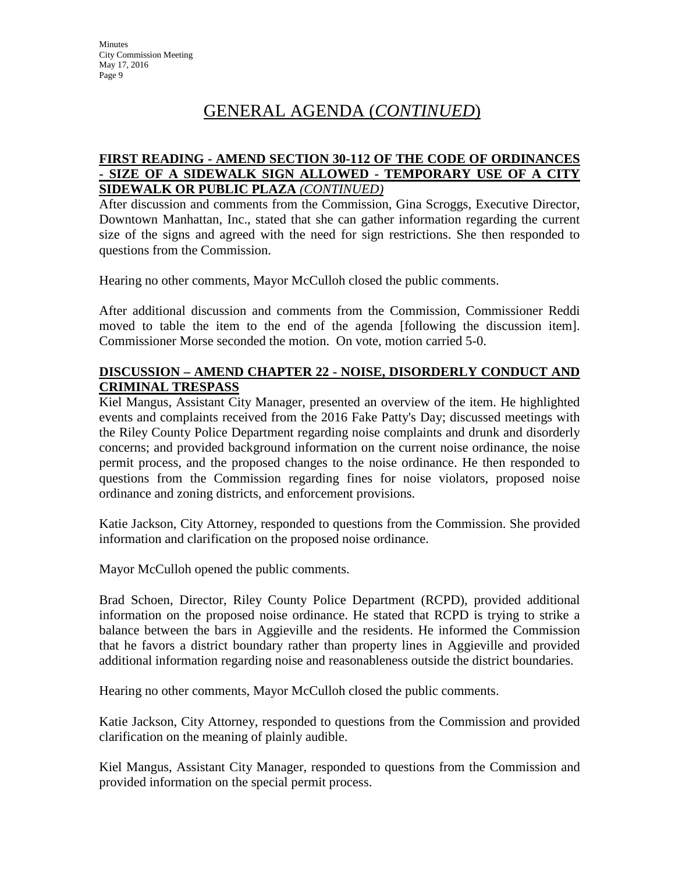# GENERAL AGENDA (*CONTINUED*)

## **FIRST READING - AMEND SECTION 30-112 OF THE CODE OF ORDINANCES - SIZE OF A SIDEWALK SIGN ALLOWED - TEMPORARY USE OF A CITY SIDEWALK OR PUBLIC PLAZA** *(CONTINUED)*

After discussion and comments from the Commission, Gina Scroggs, Executive Director, Downtown Manhattan, Inc., stated that she can gather information regarding the current size of the signs and agreed with the need for sign restrictions. She then responded to questions from the Commission.

Hearing no other comments, Mayor McCulloh closed the public comments.

After additional discussion and comments from the Commission, Commissioner Reddi moved to table the item to the end of the agenda [following the discussion item]. Commissioner Morse seconded the motion. On vote, motion carried 5-0.

## **DISCUSSION – AMEND CHAPTER 22 - NOISE, DISORDERLY CONDUCT AND CRIMINAL TRESPASS**

Kiel Mangus, Assistant City Manager, presented an overview of the item. He highlighted events and complaints received from the 2016 Fake Patty's Day; discussed meetings with the Riley County Police Department regarding noise complaints and drunk and disorderly concerns; and provided background information on the current noise ordinance, the noise permit process, and the proposed changes to the noise ordinance. He then responded to questions from the Commission regarding fines for noise violators, proposed noise ordinance and zoning districts, and enforcement provisions.

Katie Jackson, City Attorney, responded to questions from the Commission. She provided information and clarification on the proposed noise ordinance.

Mayor McCulloh opened the public comments.

Brad Schoen, Director, Riley County Police Department (RCPD), provided additional information on the proposed noise ordinance. He stated that RCPD is trying to strike a balance between the bars in Aggieville and the residents. He informed the Commission that he favors a district boundary rather than property lines in Aggieville and provided additional information regarding noise and reasonableness outside the district boundaries.

Hearing no other comments, Mayor McCulloh closed the public comments.

Katie Jackson, City Attorney, responded to questions from the Commission and provided clarification on the meaning of plainly audible.

Kiel Mangus, Assistant City Manager, responded to questions from the Commission and provided information on the special permit process.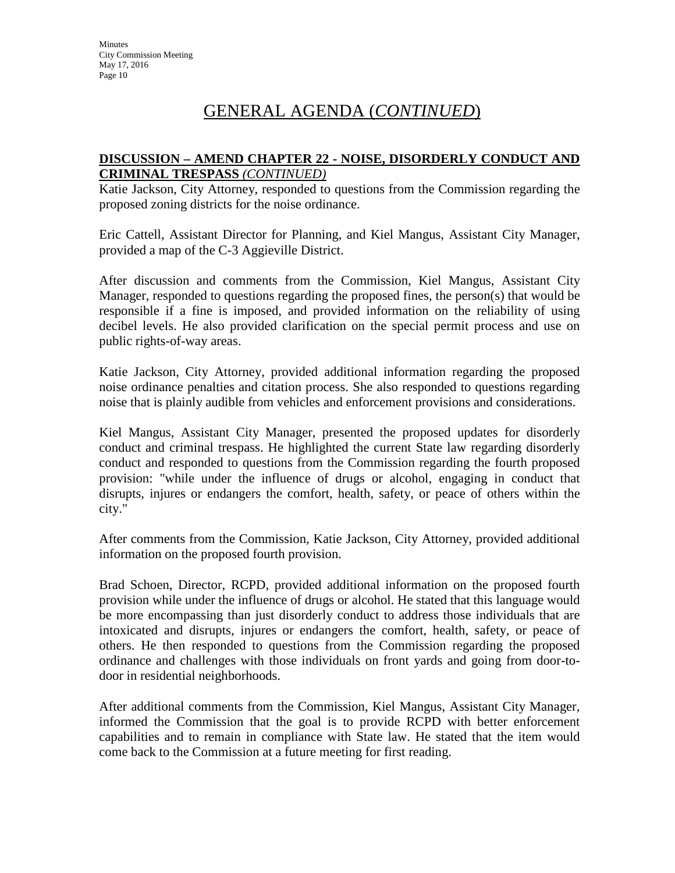# GENERAL AGENDA (*CONTINUED*)

## **DISCUSSION – AMEND CHAPTER 22 - NOISE, DISORDERLY CONDUCT AND CRIMINAL TRESPASS** *(CONTINUED)*

Katie Jackson, City Attorney, responded to questions from the Commission regarding the proposed zoning districts for the noise ordinance.

Eric Cattell, Assistant Director for Planning, and Kiel Mangus, Assistant City Manager, provided a map of the C-3 Aggieville District.

After discussion and comments from the Commission, Kiel Mangus, Assistant City Manager, responded to questions regarding the proposed fines, the person(s) that would be responsible if a fine is imposed, and provided information on the reliability of using decibel levels. He also provided clarification on the special permit process and use on public rights-of-way areas.

Katie Jackson, City Attorney, provided additional information regarding the proposed noise ordinance penalties and citation process. She also responded to questions regarding noise that is plainly audible from vehicles and enforcement provisions and considerations.

Kiel Mangus, Assistant City Manager, presented the proposed updates for disorderly conduct and criminal trespass. He highlighted the current State law regarding disorderly conduct and responded to questions from the Commission regarding the fourth proposed provision: "while under the influence of drugs or alcohol, engaging in conduct that disrupts, injures or endangers the comfort, health, safety, or peace of others within the city."

After comments from the Commission, Katie Jackson, City Attorney, provided additional information on the proposed fourth provision.

Brad Schoen, Director, RCPD, provided additional information on the proposed fourth provision while under the influence of drugs or alcohol. He stated that this language would be more encompassing than just disorderly conduct to address those individuals that are intoxicated and disrupts, injures or endangers the comfort, health, safety, or peace of others. He then responded to questions from the Commission regarding the proposed ordinance and challenges with those individuals on front yards and going from door-todoor in residential neighborhoods.

After additional comments from the Commission, Kiel Mangus, Assistant City Manager, informed the Commission that the goal is to provide RCPD with better enforcement capabilities and to remain in compliance with State law. He stated that the item would come back to the Commission at a future meeting for first reading.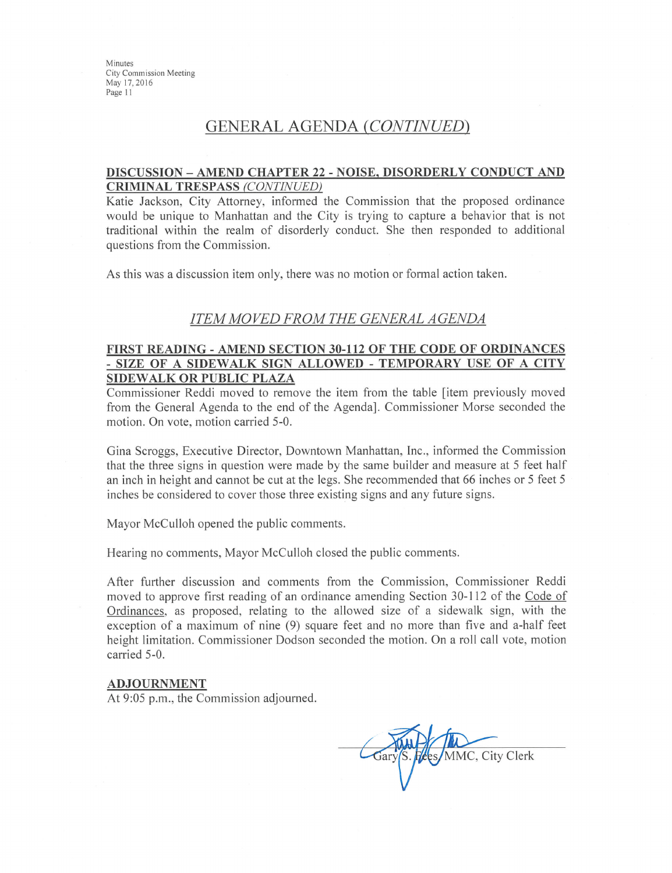Minutes City Commission Meeting May 17, 2016 Page 11

## **GENERAL AGENDA (CONTINUED)**

#### DISCUSSION - AMEND CHAPTER 22 - NOISE, DISORDERLY CONDUCT AND **CRIMINAL TRESPASS (CONTINUED)**

Katie Jackson, City Attorney, informed the Commission that the proposed ordinance would be unique to Manhattan and the City is trying to capture a behavior that is not traditional within the realm of disorderly conduct. She then responded to additional questions from the Commission.

As this was a discussion item only, there was no motion or formal action taken.

#### **ITEM MOVED FROM THE GENERAL AGENDA**

#### FIRST READING - AMEND SECTION 30-112 OF THE CODE OF ORDINANCES - SIZE OF A SIDEWALK SIGN ALLOWED - TEMPORARY USE OF A CITY **SIDEWALK OR PUBLIC PLAZA**

Commissioner Reddi moved to remove the item from the table *s* item previously moved from the General Agenda to the end of the Agenda]. Commissioner Morse seconded the motion. On vote, motion carried 5-0.

Gina Scroggs, Executive Director, Downtown Manhattan, Inc., informed the Commission that the three signs in question were made by the same builder and measure at 5 feet half an inch in height and cannot be cut at the legs. She recommended that 66 inches or 5 feet 5 inches be considered to cover those three existing signs and any future signs.

Mayor McCulloh opened the public comments.

Hearing no comments, Mayor McCulloh closed the public comments.

After further discussion and comments from the Commission, Commissioner Reddi moved to approve first reading of an ordinance amending Section 30-112 of the Code of Ordinances, as proposed, relating to the allowed size of a sidewalk sign, with the exception of a maximum of nine (9) square feet and no more than five and a-half feet height limitation. Commissioner Dodson seconded the motion. On a roll call vote, motion carried 5-0.

#### **ADJOURNMENT**

At 9:05 p.m., the Commission adjourned.

MMC, City Clerk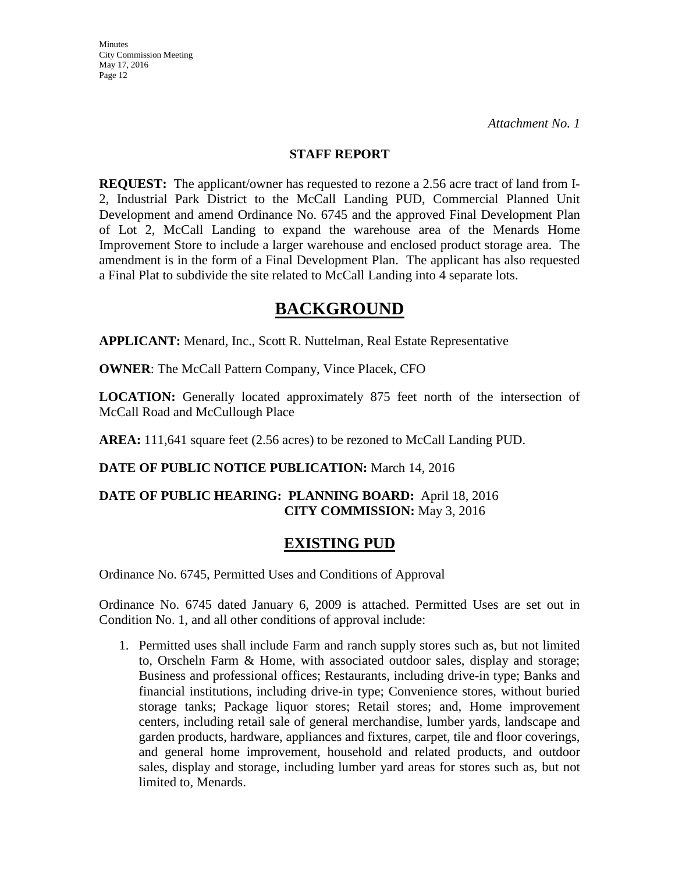**Minutes** City Commission Meeting May 17, 2016 Page 12

### **STAFF REPORT**

**REQUEST:** The applicant/owner has requested to rezone a 2.56 acre tract of land from I-2, Industrial Park District to the McCall Landing PUD, Commercial Planned Unit Development and amend Ordinance No. 6745 and the approved Final Development Plan of Lot 2, McCall Landing to expand the warehouse area of the Menards Home Improvement Store to include a larger warehouse and enclosed product storage area. The amendment is in the form of a Final Development Plan. The applicant has also requested a Final Plat to subdivide the site related to McCall Landing into 4 separate lots.

# **BACKGROUND**

**APPLICANT:** Menard, Inc., Scott R. Nuttelman, Real Estate Representative

**OWNER**: The McCall Pattern Company, Vince Placek, CFO

**LOCATION:** Generally located approximately 875 feet north of the intersection of McCall Road and McCullough Place

AREA: 111,641 square feet (2.56 acres) to be rezoned to McCall Landing PUD.

## **DATE OF PUBLIC NOTICE PUBLICATION:** March 14, 2016

## **DATE OF PUBLIC HEARING: PLANNING BOARD:** April 18, 2016 **CITY COMMISSION:** May 3, 2016

## **EXISTING PUD**

Ordinance No. 6745, Permitted Uses and Conditions of Approval

Ordinance No. 6745 dated January 6, 2009 is attached. Permitted Uses are set out in Condition No. 1, and all other conditions of approval include:

1. Permitted uses shall include Farm and ranch supply stores such as, but not limited to, Orscheln Farm & Home, with associated outdoor sales, display and storage; Business and professional offices; Restaurants, including drive-in type; Banks and financial institutions, including drive-in type; Convenience stores, without buried storage tanks; Package liquor stores; Retail stores; and, Home improvement centers, including retail sale of general merchandise, lumber yards, landscape and garden products, hardware, appliances and fixtures, carpet, tile and floor coverings, and general home improvement, household and related products, and outdoor sales, display and storage, including lumber yard areas for stores such as, but not limited to, Menards.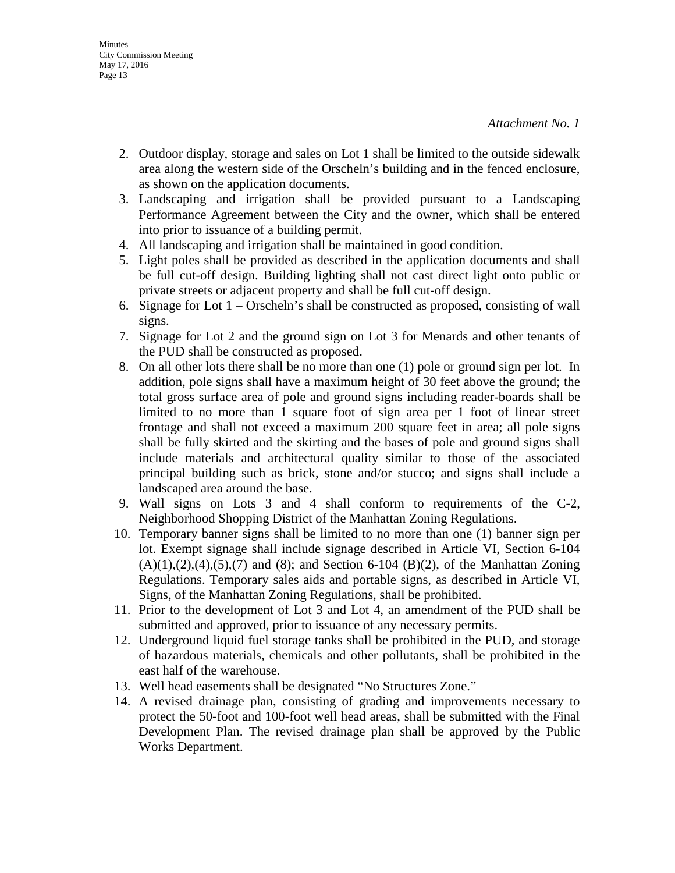- 2. Outdoor display, storage and sales on Lot 1 shall be limited to the outside sidewalk area along the western side of the Orscheln's building and in the fenced enclosure, as shown on the application documents.
- 3. Landscaping and irrigation shall be provided pursuant to a Landscaping Performance Agreement between the City and the owner, which shall be entered into prior to issuance of a building permit.
- 4. All landscaping and irrigation shall be maintained in good condition.
- 5. Light poles shall be provided as described in the application documents and shall be full cut-off design. Building lighting shall not cast direct light onto public or private streets or adjacent property and shall be full cut-off design.
- 6. Signage for Lot 1 Orscheln's shall be constructed as proposed, consisting of wall signs.
- 7. Signage for Lot 2 and the ground sign on Lot 3 for Menards and other tenants of the PUD shall be constructed as proposed.
- 8. On all other lots there shall be no more than one (1) pole or ground sign per lot. In addition, pole signs shall have a maximum height of 30 feet above the ground; the total gross surface area of pole and ground signs including reader-boards shall be limited to no more than 1 square foot of sign area per 1 foot of linear street frontage and shall not exceed a maximum 200 square feet in area; all pole signs shall be fully skirted and the skirting and the bases of pole and ground signs shall include materials and architectural quality similar to those of the associated principal building such as brick, stone and/or stucco; and signs shall include a landscaped area around the base.
- 9. Wall signs on Lots 3 and 4 shall conform to requirements of the C-2, Neighborhood Shopping District of the Manhattan Zoning Regulations.
- 10. Temporary banner signs shall be limited to no more than one (1) banner sign per lot. Exempt signage shall include signage described in Article VI, Section 6-104  $(A)(1),(2),(4),(5),(7)$  and  $(8)$ ; and Section 6-104  $(B)(2)$ , of the Manhattan Zoning Regulations. Temporary sales aids and portable signs, as described in Article VI, Signs, of the Manhattan Zoning Regulations, shall be prohibited.
- 11. Prior to the development of Lot 3 and Lot 4, an amendment of the PUD shall be submitted and approved, prior to issuance of any necessary permits.
- 12. Underground liquid fuel storage tanks shall be prohibited in the PUD, and storage of hazardous materials, chemicals and other pollutants, shall be prohibited in the east half of the warehouse.
- 13. Well head easements shall be designated "No Structures Zone."
- 14. A revised drainage plan, consisting of grading and improvements necessary to protect the 50-foot and 100-foot well head areas, shall be submitted with the Final Development Plan. The revised drainage plan shall be approved by the Public Works Department.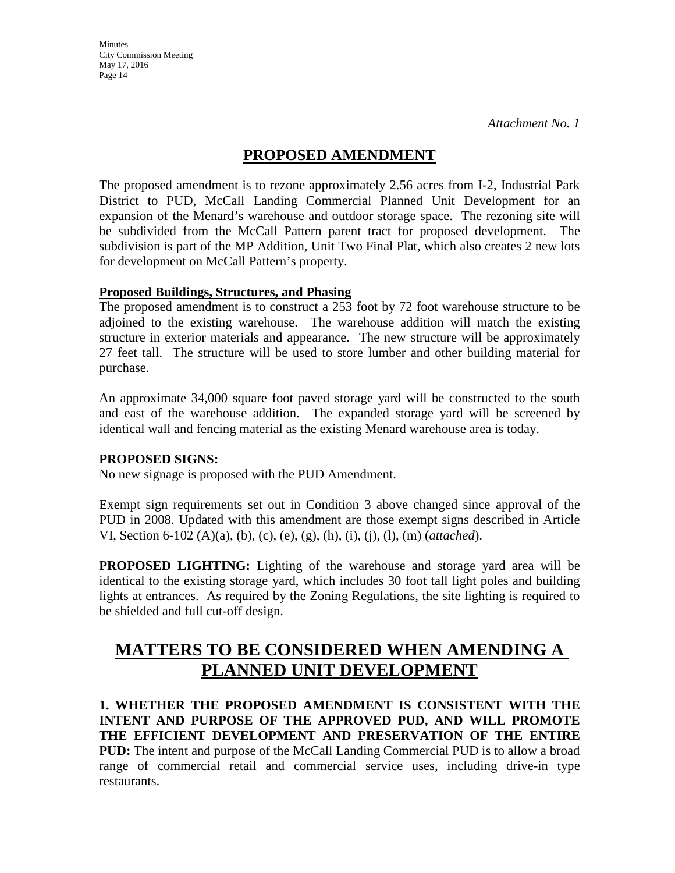**Minutes** City Commission Meeting May 17, 2016 Page 14

## **PROPOSED AMENDMENT**

The proposed amendment is to rezone approximately 2.56 acres from I-2, Industrial Park District to PUD, McCall Landing Commercial Planned Unit Development for an expansion of the Menard's warehouse and outdoor storage space. The rezoning site will be subdivided from the McCall Pattern parent tract for proposed development. The subdivision is part of the MP Addition, Unit Two Final Plat, which also creates 2 new lots for development on McCall Pattern's property.

## **Proposed Buildings, Structures, and Phasing**

The proposed amendment is to construct a 253 foot by 72 foot warehouse structure to be adjoined to the existing warehouse. The warehouse addition will match the existing structure in exterior materials and appearance. The new structure will be approximately 27 feet tall. The structure will be used to store lumber and other building material for purchase.

An approximate 34,000 square foot paved storage yard will be constructed to the south and east of the warehouse addition. The expanded storage yard will be screened by identical wall and fencing material as the existing Menard warehouse area is today.

## **PROPOSED SIGNS:**

No new signage is proposed with the PUD Amendment.

Exempt sign requirements set out in Condition 3 above changed since approval of the PUD in 2008. Updated with this amendment are those exempt signs described in Article VI, Section 6-102 (A)(a), (b), (c), (e), (g), (h), (i), (j), (l), (m) (*attached*).

**PROPOSED LIGHTING:** Lighting of the warehouse and storage yard area will be identical to the existing storage yard, which includes 30 foot tall light poles and building lights at entrances. As required by the Zoning Regulations, the site lighting is required to be shielded and full cut-off design.

# **MATTERS TO BE CONSIDERED WHEN AMENDING A PLANNED UNIT DEVELOPMENT**

**1. WHETHER THE PROPOSED AMENDMENT IS CONSISTENT WITH THE INTENT AND PURPOSE OF THE APPROVED PUD, AND WILL PROMOTE THE EFFICIENT DEVELOPMENT AND PRESERVATION OF THE ENTIRE PUD:** The intent and purpose of the McCall Landing Commercial PUD is to allow a broad range of commercial retail and commercial service uses, including drive-in type restaurants.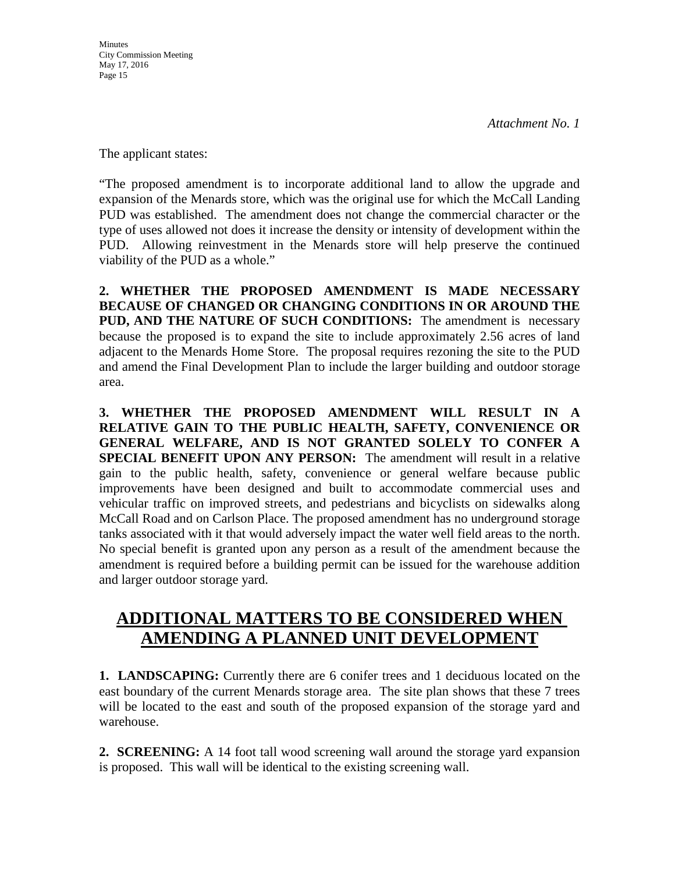The applicant states:

"The proposed amendment is to incorporate additional land to allow the upgrade and expansion of the Menards store, which was the original use for which the McCall Landing PUD was established. The amendment does not change the commercial character or the type of uses allowed not does it increase the density or intensity of development within the PUD. Allowing reinvestment in the Menards store will help preserve the continued viability of the PUD as a whole."

**2. WHETHER THE PROPOSED AMENDMENT IS MADE NECESSARY BECAUSE OF CHANGED OR CHANGING CONDITIONS IN OR AROUND THE PUD, AND THE NATURE OF SUCH CONDITIONS:** The amendment is necessary because the proposed is to expand the site to include approximately 2.56 acres of land adjacent to the Menards Home Store. The proposal requires rezoning the site to the PUD and amend the Final Development Plan to include the larger building and outdoor storage area.

**3. WHETHER THE PROPOSED AMENDMENT WILL RESULT IN A RELATIVE GAIN TO THE PUBLIC HEALTH, SAFETY, CONVENIENCE OR GENERAL WELFARE, AND IS NOT GRANTED SOLELY TO CONFER A SPECIAL BENEFIT UPON ANY PERSON:** The amendment will result in a relative gain to the public health, safety, convenience or general welfare because public improvements have been designed and built to accommodate commercial uses and vehicular traffic on improved streets, and pedestrians and bicyclists on sidewalks along McCall Road and on Carlson Place. The proposed amendment has no underground storage tanks associated with it that would adversely impact the water well field areas to the north. No special benefit is granted upon any person as a result of the amendment because the amendment is required before a building permit can be issued for the warehouse addition and larger outdoor storage yard.

# **ADDITIONAL MATTERS TO BE CONSIDERED WHEN AMENDING A PLANNED UNIT DEVELOPMENT**

**1. LANDSCAPING:** Currently there are 6 conifer trees and 1 deciduous located on the east boundary of the current Menards storage area. The site plan shows that these 7 trees will be located to the east and south of the proposed expansion of the storage yard and warehouse.

**2. SCREENING:** A 14 foot tall wood screening wall around the storage yard expansion is proposed. This wall will be identical to the existing screening wall.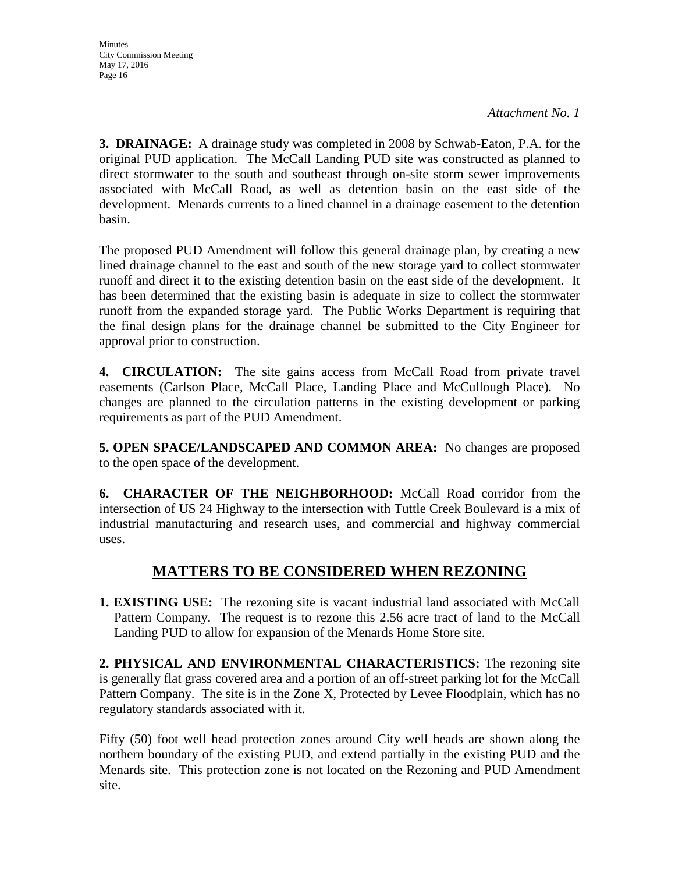**3. DRAINAGE:** A drainage study was completed in 2008 by Schwab-Eaton, P.A. for the original PUD application. The McCall Landing PUD site was constructed as planned to direct stormwater to the south and southeast through on-site storm sewer improvements associated with McCall Road, as well as detention basin on the east side of the development. Menards currents to a lined channel in a drainage easement to the detention basin.

The proposed PUD Amendment will follow this general drainage plan, by creating a new lined drainage channel to the east and south of the new storage yard to collect stormwater runoff and direct it to the existing detention basin on the east side of the development. It has been determined that the existing basin is adequate in size to collect the stormwater runoff from the expanded storage yard. The Public Works Department is requiring that the final design plans for the drainage channel be submitted to the City Engineer for approval prior to construction.

**4. CIRCULATION:** The site gains access from McCall Road from private travel easements (Carlson Place, McCall Place, Landing Place and McCullough Place). No changes are planned to the circulation patterns in the existing development or parking requirements as part of the PUD Amendment.

**5. OPEN SPACE/LANDSCAPED AND COMMON AREA:** No changes are proposed to the open space of the development.

**6. CHARACTER OF THE NEIGHBORHOOD:** McCall Road corridor from the intersection of US 24 Highway to the intersection with Tuttle Creek Boulevard is a mix of industrial manufacturing and research uses, and commercial and highway commercial uses.

# **MATTERS TO BE CONSIDERED WHEN REZONING**

**1. EXISTING USE:** The rezoning site is vacant industrial land associated with McCall Pattern Company. The request is to rezone this 2.56 acre tract of land to the McCall Landing PUD to allow for expansion of the Menards Home Store site.

**2. PHYSICAL AND ENVIRONMENTAL CHARACTERISTICS:** The rezoning site is generally flat grass covered area and a portion of an off-street parking lot for the McCall Pattern Company. The site is in the Zone X, Protected by Levee Floodplain, which has no regulatory standards associated with it.

Fifty (50) foot well head protection zones around City well heads are shown along the northern boundary of the existing PUD, and extend partially in the existing PUD and the Menards site. This protection zone is not located on the Rezoning and PUD Amendment site.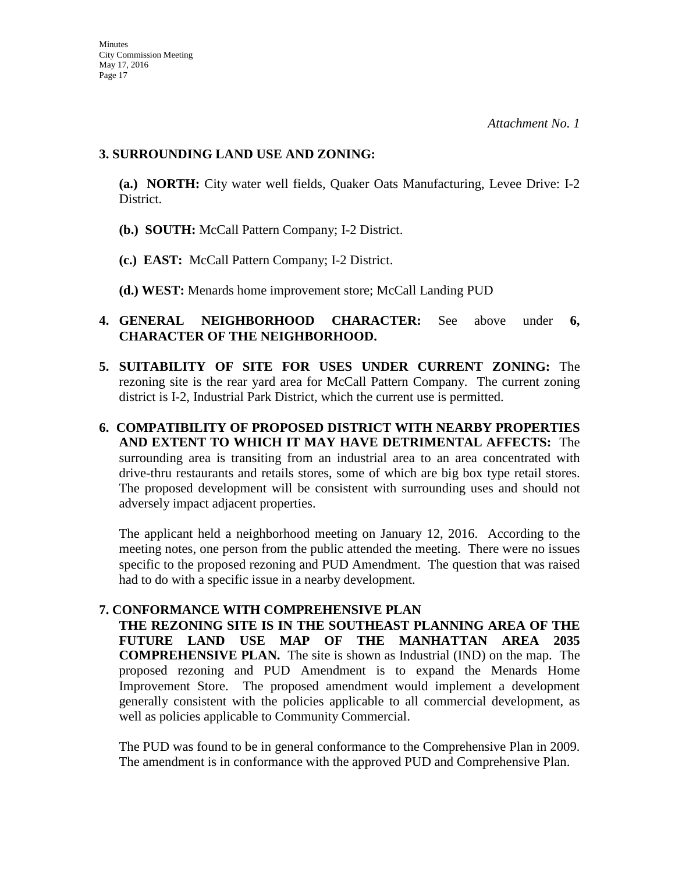### **3. SURROUNDING LAND USE AND ZONING:**

**(a.) NORTH:** City water well fields, Quaker Oats Manufacturing, Levee Drive: I-2 District.

- **(b.) SOUTH:** McCall Pattern Company; I-2 District.
- **(c.) EAST:** McCall Pattern Company; I-2 District.
- **(d.) WEST:** Menards home improvement store; McCall Landing PUD

## **4. GENERAL NEIGHBORHOOD CHARACTER:** See above under **6, CHARACTER OF THE NEIGHBORHOOD.**

- **5. SUITABILITY OF SITE FOR USES UNDER CURRENT ZONING:** The rezoning site is the rear yard area for McCall Pattern Company. The current zoning district is I-2, Industrial Park District, which the current use is permitted.
- **6. COMPATIBILITY OF PROPOSED DISTRICT WITH NEARBY PROPERTIES AND EXTENT TO WHICH IT MAY HAVE DETRIMENTAL AFFECTS:** The surrounding area is transiting from an industrial area to an area concentrated with drive-thru restaurants and retails stores, some of which are big box type retail stores. The proposed development will be consistent with surrounding uses and should not adversely impact adjacent properties.

The applicant held a neighborhood meeting on January 12, 2016. According to the meeting notes, one person from the public attended the meeting. There were no issues specific to the proposed rezoning and PUD Amendment. The question that was raised had to do with a specific issue in a nearby development.

## **7. CONFORMANCE WITH COMPREHENSIVE PLAN**

**THE REZONING SITE IS IN THE SOUTHEAST PLANNING AREA OF THE FUTURE LAND USE MAP OF THE MANHATTAN AREA 2035 COMPREHENSIVE PLAN.** The site is shown as Industrial (IND) on the map. The proposed rezoning and PUD Amendment is to expand the Menards Home Improvement Store. The proposed amendment would implement a development generally consistent with the policies applicable to all commercial development, as well as policies applicable to Community Commercial.

The PUD was found to be in general conformance to the Comprehensive Plan in 2009. The amendment is in conformance with the approved PUD and Comprehensive Plan.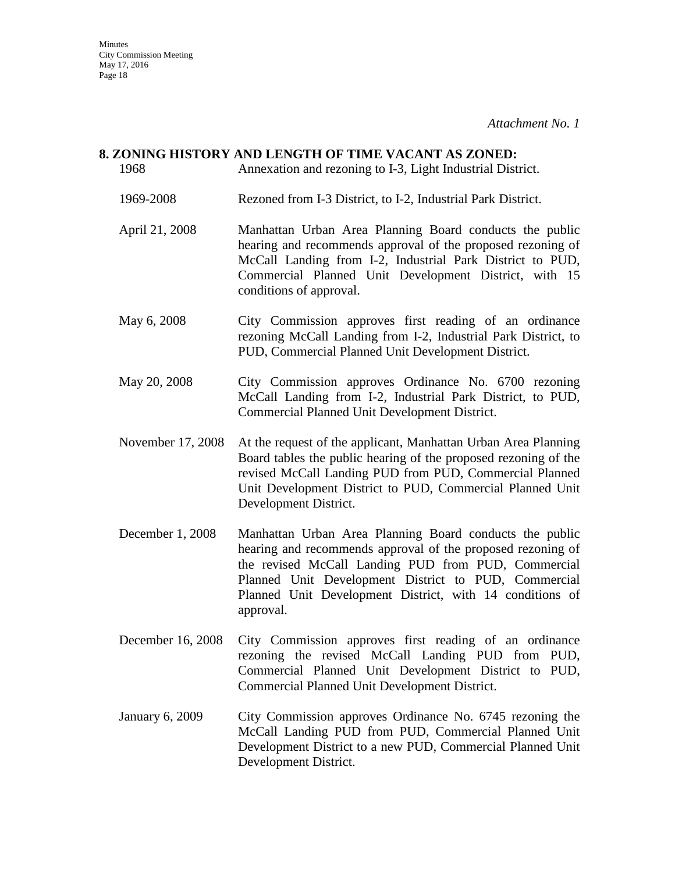## **8. ZONING HISTORY AND LENGTH OF TIME VACANT AS ZONED:**

- 1968 Annexation and rezoning to I-3, Light Industrial District. 1969-2008 Rezoned from I-3 District, to I-2, Industrial Park District. April 21, 2008 Manhattan Urban Area Planning Board conducts the public hearing and recommends approval of the proposed rezoning of McCall Landing from I-2, Industrial Park District to PUD, Commercial Planned Unit Development District, with 15 conditions of approval. May 6, 2008 City Commission approves first reading of an ordinance rezoning McCall Landing from I-2, Industrial Park District, to PUD, Commercial Planned Unit Development District. May 20, 2008 City Commission approves Ordinance No. 6700 rezoning McCall Landing from I-2, Industrial Park District, to PUD, Commercial Planned Unit Development District. November 17, 2008 At the request of the applicant, Manhattan Urban Area Planning Board tables the public hearing of the proposed rezoning of the
- revised McCall Landing PUD from PUD, Commercial Planned Unit Development District to PUD, Commercial Planned Unit Development District.
- December 1, 2008 Manhattan Urban Area Planning Board conducts the public hearing and recommends approval of the proposed rezoning of the revised McCall Landing PUD from PUD, Commercial Planned Unit Development District to PUD, Commercial Planned Unit Development District, with 14 conditions of approval.
- December 16, 2008 City Commission approves first reading of an ordinance rezoning the revised McCall Landing PUD from PUD, Commercial Planned Unit Development District to PUD, Commercial Planned Unit Development District.
- January 6, 2009 City Commission approves Ordinance No. 6745 rezoning the McCall Landing PUD from PUD, Commercial Planned Unit Development District to a new PUD, Commercial Planned Unit Development District.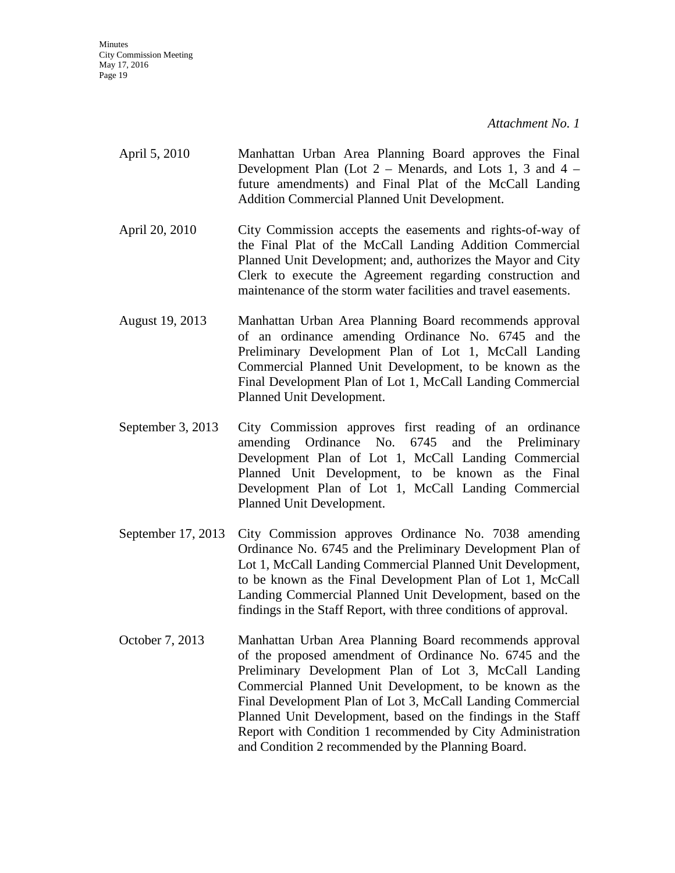**Minutes** City Commission Meeting May 17, 2016 Page 19

*Attachment No. 1*

- April 5, 2010 Manhattan Urban Area Planning Board approves the Final Development Plan (Lot  $2$  – Menards, and Lots 1, 3 and 4 – future amendments) and Final Plat of the McCall Landing Addition Commercial Planned Unit Development.
- April 20, 2010 City Commission accepts the easements and rights-of-way of the Final Plat of the McCall Landing Addition Commercial Planned Unit Development; and, authorizes the Mayor and City Clerk to execute the Agreement regarding construction and maintenance of the storm water facilities and travel easements.
- August 19, 2013 Manhattan Urban Area Planning Board recommends approval of an ordinance amending Ordinance No. 6745 and the Preliminary Development Plan of Lot 1, McCall Landing Commercial Planned Unit Development, to be known as the Final Development Plan of Lot 1, McCall Landing Commercial Planned Unit Development.
- September 3, 2013 City Commission approves first reading of an ordinance amending Ordinance No. 6745 and the Preliminary Development Plan of Lot 1, McCall Landing Commercial Planned Unit Development, to be known as the Final Development Plan of Lot 1, McCall Landing Commercial Planned Unit Development.
- September 17, 2013 City Commission approves Ordinance No. 7038 amending Ordinance No. 6745 and the Preliminary Development Plan of Lot 1, McCall Landing Commercial Planned Unit Development, to be known as the Final Development Plan of Lot 1, McCall Landing Commercial Planned Unit Development, based on the findings in the Staff Report, with three conditions of approval.
- October 7, 2013 Manhattan Urban Area Planning Board recommends approval of the proposed amendment of Ordinance No. 6745 and the Preliminary Development Plan of Lot 3, McCall Landing Commercial Planned Unit Development, to be known as the Final Development Plan of Lot 3, McCall Landing Commercial Planned Unit Development, based on the findings in the Staff Report with Condition 1 recommended by City Administration and Condition 2 recommended by the Planning Board.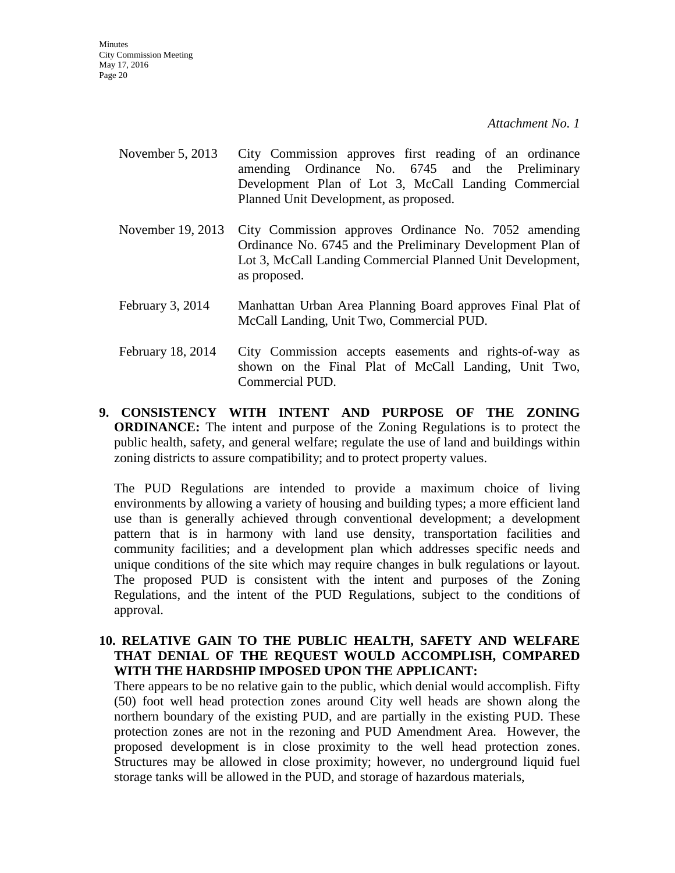- November 5, 2013 City Commission approves first reading of an ordinance amending Ordinance No. 6745 and the Preliminary Development Plan of Lot 3, McCall Landing Commercial Planned Unit Development, as proposed.
- November 19, 2013 City Commission approves Ordinance No. 7052 amending Ordinance No. 6745 and the Preliminary Development Plan of Lot 3, McCall Landing Commercial Planned Unit Development, as proposed.
- February 3, 2014 Manhattan Urban Area Planning Board approves Final Plat of McCall Landing, Unit Two, Commercial PUD.
- February 18, 2014 City Commission accepts easements and rights-of-way as shown on the Final Plat of McCall Landing, Unit Two, Commercial PUD.
- **9. CONSISTENCY WITH INTENT AND PURPOSE OF THE ZONING ORDINANCE:** The intent and purpose of the Zoning Regulations is to protect the public health, safety, and general welfare; regulate the use of land and buildings within zoning districts to assure compatibility; and to protect property values.

The PUD Regulations are intended to provide a maximum choice of living environments by allowing a variety of housing and building types; a more efficient land use than is generally achieved through conventional development; a development pattern that is in harmony with land use density, transportation facilities and community facilities; and a development plan which addresses specific needs and unique conditions of the site which may require changes in bulk regulations or layout. The proposed PUD is consistent with the intent and purposes of the Zoning Regulations, and the intent of the PUD Regulations, subject to the conditions of approval.

### **10. RELATIVE GAIN TO THE PUBLIC HEALTH, SAFETY AND WELFARE THAT DENIAL OF THE REQUEST WOULD ACCOMPLISH, COMPARED WITH THE HARDSHIP IMPOSED UPON THE APPLICANT:**

There appears to be no relative gain to the public, which denial would accomplish. Fifty (50) foot well head protection zones around City well heads are shown along the northern boundary of the existing PUD, and are partially in the existing PUD. These protection zones are not in the rezoning and PUD Amendment Area. However, the proposed development is in close proximity to the well head protection zones. Structures may be allowed in close proximity; however, no underground liquid fuel storage tanks will be allowed in the PUD, and storage of hazardous materials,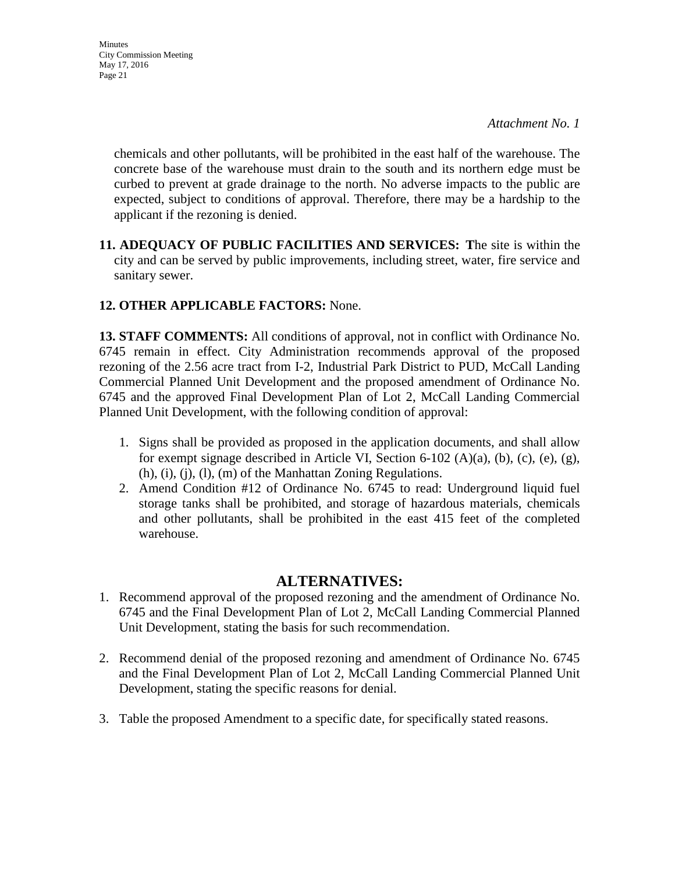chemicals and other pollutants, will be prohibited in the east half of the warehouse. The concrete base of the warehouse must drain to the south and its northern edge must be curbed to prevent at grade drainage to the north. No adverse impacts to the public are expected, subject to conditions of approval. Therefore, there may be a hardship to the applicant if the rezoning is denied.

**11. ADEQUACY OF PUBLIC FACILITIES AND SERVICES: T**he site is within the city and can be served by public improvements, including street, water, fire service and sanitary sewer.

## **12. OTHER APPLICABLE FACTORS:** None.

**13. STAFF COMMENTS:** All conditions of approval, not in conflict with Ordinance No. 6745 remain in effect. City Administration recommends approval of the proposed rezoning of the 2.56 acre tract from I-2, Industrial Park District to PUD, McCall Landing Commercial Planned Unit Development and the proposed amendment of Ordinance No. 6745 and the approved Final Development Plan of Lot 2, McCall Landing Commercial Planned Unit Development, with the following condition of approval:

- 1. Signs shall be provided as proposed in the application documents, and shall allow for exempt signage described in Article VI, Section 6-102 (A)(a), (b), (c), (e), (g), (h), (i), (j), (l), (m) of the Manhattan Zoning Regulations.
- 2. Amend Condition #12 of Ordinance No. 6745 to read: Underground liquid fuel storage tanks shall be prohibited, and storage of hazardous materials, chemicals and other pollutants, shall be prohibited in the east 415 feet of the completed warehouse.

## **ALTERNATIVES:**

- 1. Recommend approval of the proposed rezoning and the amendment of Ordinance No. 6745 and the Final Development Plan of Lot 2, McCall Landing Commercial Planned Unit Development, stating the basis for such recommendation.
- 2. Recommend denial of the proposed rezoning and amendment of Ordinance No. 6745 and the Final Development Plan of Lot 2, McCall Landing Commercial Planned Unit Development, stating the specific reasons for denial.
- 3. Table the proposed Amendment to a specific date, for specifically stated reasons.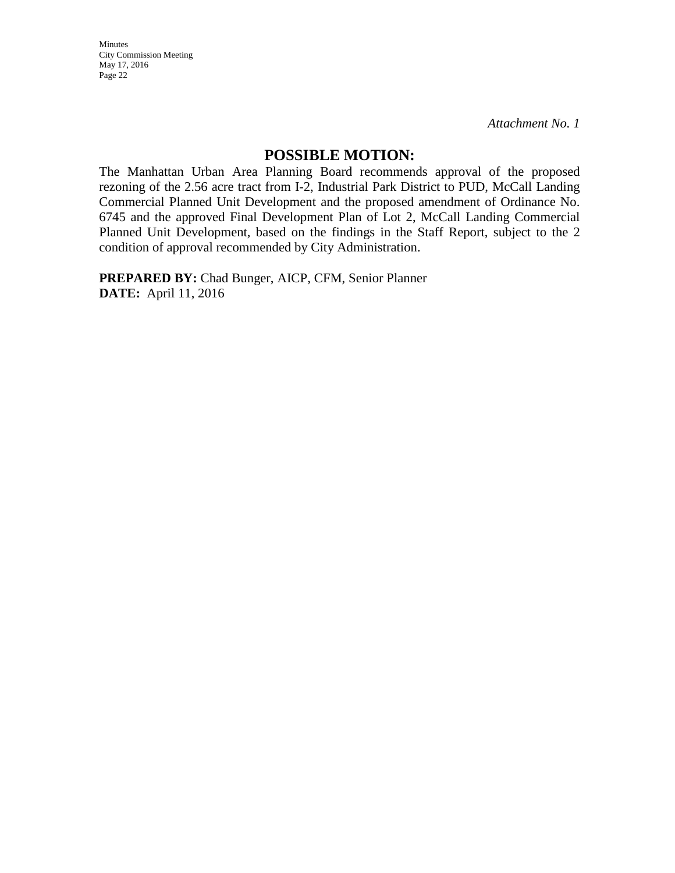Minutes City Commission Meeting May 17, 2016 Page 22

*Attachment No. 1*

## **POSSIBLE MOTION:**

The Manhattan Urban Area Planning Board recommends approval of the proposed rezoning of the 2.56 acre tract from I-2, Industrial Park District to PUD, McCall Landing Commercial Planned Unit Development and the proposed amendment of Ordinance No. 6745 and the approved Final Development Plan of Lot 2, McCall Landing Commercial Planned Unit Development, based on the findings in the Staff Report, subject to the 2 condition of approval recommended by City Administration.

**PREPARED BY:** Chad Bunger, AICP, CFM, Senior Planner **DATE:** April 11, 2016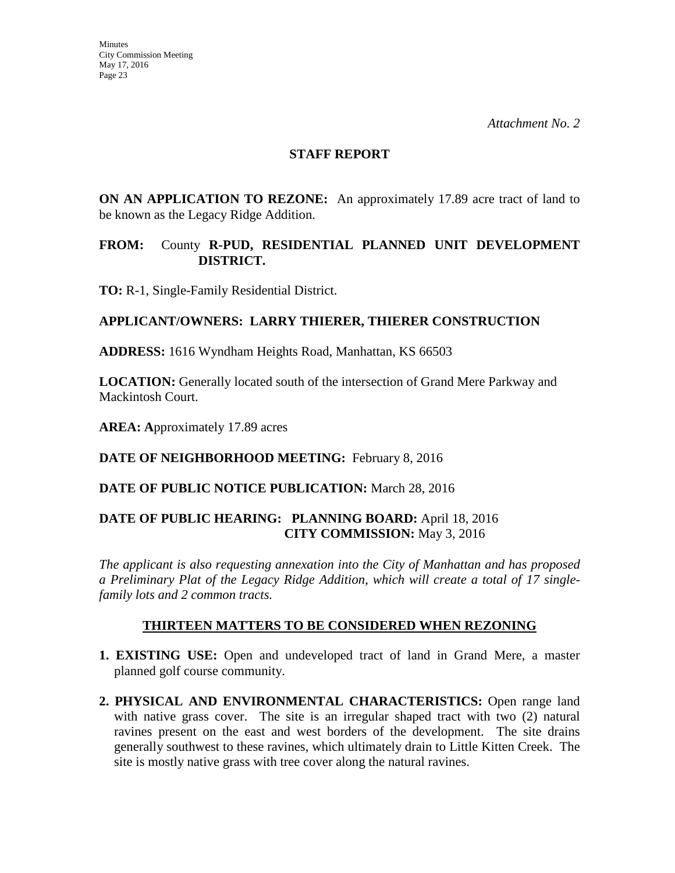### **STAFF REPORT**

**ON AN APPLICATION TO REZONE:** An approximately 17.89 acre tract of land to be known as the Legacy Ridge Addition.

## **FROM:** County **R-PUD, RESIDENTIAL PLANNED UNIT DEVELOPMENT DISTRICT.**

**TO:** R-1, Single-Family Residential District.

## **APPLICANT/OWNERS: LARRY THIERER, THIERER CONSTRUCTION**

**ADDRESS:** 1616 Wyndham Heights Road, Manhattan, KS 66503

**LOCATION:** Generally located south of the intersection of Grand Mere Parkway and Mackintosh Court.

**AREA: A**pproximately 17.89 acres

**DATE OF NEIGHBORHOOD MEETING:** February 8, 2016

## **DATE OF PUBLIC NOTICE PUBLICATION:** March 28, 2016

## **DATE OF PUBLIC HEARING: PLANNING BOARD:** April 18, 2016 **CITY COMMISSION:** May 3, 2016

*The applicant is also requesting annexation into the City of Manhattan and has proposed a Preliminary Plat of the Legacy Ridge Addition*, *which will create a total of 17 singlefamily lots and 2 common tracts.*

#### **THIRTEEN MATTERS TO BE CONSIDERED WHEN REZONING**

- **1. EXISTING USE:** Open and undeveloped tract of land in Grand Mere, a master planned golf course community.
- **2. PHYSICAL AND ENVIRONMENTAL CHARACTERISTICS:** Open range land with native grass cover. The site is an irregular shaped tract with two (2) natural ravines present on the east and west borders of the development. The site drains generally southwest to these ravines, which ultimately drain to Little Kitten Creek. The site is mostly native grass with tree cover along the natural ravines.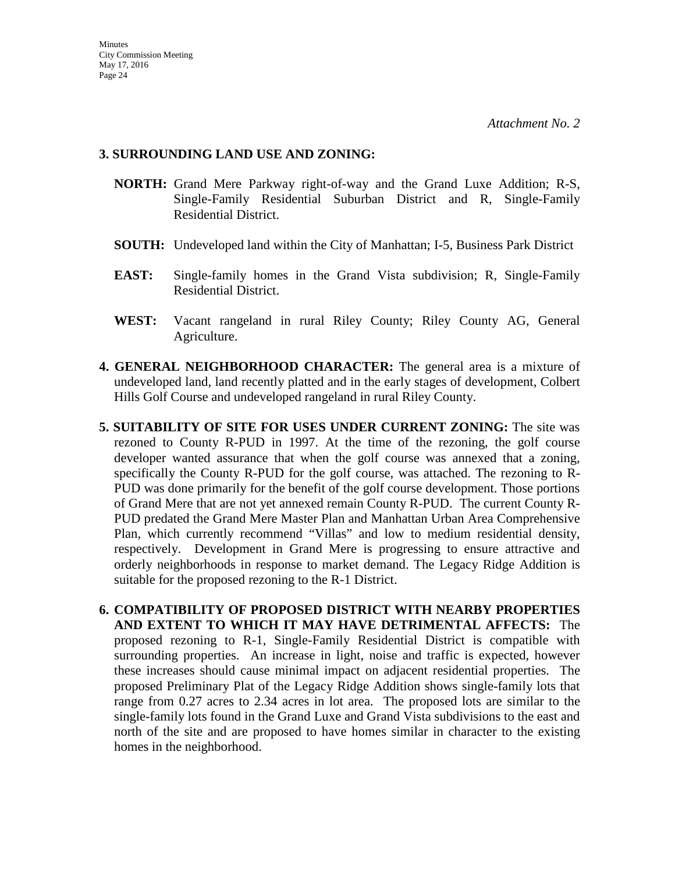### **3. SURROUNDING LAND USE AND ZONING:**

- **NORTH:** Grand Mere Parkway right-of-way and the Grand Luxe Addition; R-S, Single-Family Residential Suburban District and R, Single-Family Residential District.
- **SOUTH:** Undeveloped land within the City of Manhattan; I-5, Business Park District
- **EAST:** Single-family homes in the Grand Vista subdivision; R, Single-Family Residential District.
- **WEST:** Vacant rangeland in rural Riley County; Riley County AG, General Agriculture.
- **4. GENERAL NEIGHBORHOOD CHARACTER:** The general area is a mixture of undeveloped land, land recently platted and in the early stages of development, Colbert Hills Golf Course and undeveloped rangeland in rural Riley County.
- **5. SUITABILITY OF SITE FOR USES UNDER CURRENT ZONING:** The site was rezoned to County R-PUD in 1997. At the time of the rezoning, the golf course developer wanted assurance that when the golf course was annexed that a zoning, specifically the County R-PUD for the golf course, was attached. The rezoning to R-PUD was done primarily for the benefit of the golf course development. Those portions of Grand Mere that are not yet annexed remain County R-PUD. The current County R-PUD predated the Grand Mere Master Plan and Manhattan Urban Area Comprehensive Plan, which currently recommend "Villas" and low to medium residential density, respectively. Development in Grand Mere is progressing to ensure attractive and orderly neighborhoods in response to market demand. The Legacy Ridge Addition is suitable for the proposed rezoning to the R-1 District.
- **6. COMPATIBILITY OF PROPOSED DISTRICT WITH NEARBY PROPERTIES AND EXTENT TO WHICH IT MAY HAVE DETRIMENTAL AFFECTS:** The proposed rezoning to R-1, Single-Family Residential District is compatible with surrounding properties. An increase in light, noise and traffic is expected, however these increases should cause minimal impact on adjacent residential properties. The proposed Preliminary Plat of the Legacy Ridge Addition shows single-family lots that range from 0.27 acres to 2.34 acres in lot area. The proposed lots are similar to the single-family lots found in the Grand Luxe and Grand Vista subdivisions to the east and north of the site and are proposed to have homes similar in character to the existing homes in the neighborhood.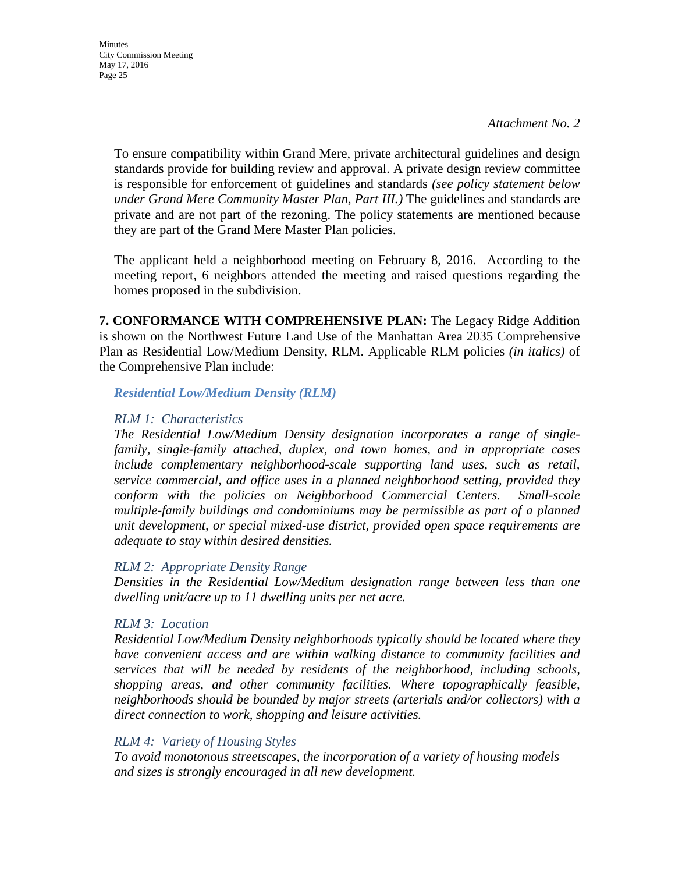To ensure compatibility within Grand Mere, private architectural guidelines and design standards provide for building review and approval. A private design review committee is responsible for enforcement of guidelines and standards *(see policy statement below under Grand Mere Community Master Plan, Part III.)* The guidelines and standards are private and are not part of the rezoning. The policy statements are mentioned because they are part of the Grand Mere Master Plan policies.

The applicant held a neighborhood meeting on February 8, 2016. According to the meeting report, 6 neighbors attended the meeting and raised questions regarding the homes proposed in the subdivision.

**7. CONFORMANCE WITH COMPREHENSIVE PLAN:** The Legacy Ridge Addition is shown on the Northwest Future Land Use of the Manhattan Area 2035 Comprehensive Plan as Residential Low/Medium Density, RLM. Applicable RLM policies *(in italics)* of the Comprehensive Plan include:

*Residential Low/Medium Density (RLM)*

### *RLM 1: Characteristics*

*The Residential Low/Medium Density designation incorporates a range of singlefamily, single-family attached, duplex, and town homes, and in appropriate cases include complementary neighborhood-scale supporting land uses, such as retail, service commercial, and office uses in a planned neighborhood setting, provided they conform with the policies on Neighborhood Commercial Centers. Small-scale multiple-family buildings and condominiums may be permissible as part of a planned unit development, or special mixed-use district, provided open space requirements are adequate to stay within desired densities.* 

## *RLM 2: Appropriate Density Range*

*Densities in the Residential Low/Medium designation range between less than one dwelling unit/acre up to 11 dwelling units per net acre.* 

## *RLM 3: Location*

*Residential Low/Medium Density neighborhoods typically should be located where they have convenient access and are within walking distance to community facilities and services that will be needed by residents of the neighborhood, including schools, shopping areas, and other community facilities. Where topographically feasible, neighborhoods should be bounded by major streets (arterials and/or collectors) with a direct connection to work, shopping and leisure activities.* 

## *RLM 4: Variety of Housing Styles*

*To avoid monotonous streetscapes, the incorporation of a variety of housing models and sizes is strongly encouraged in all new development.*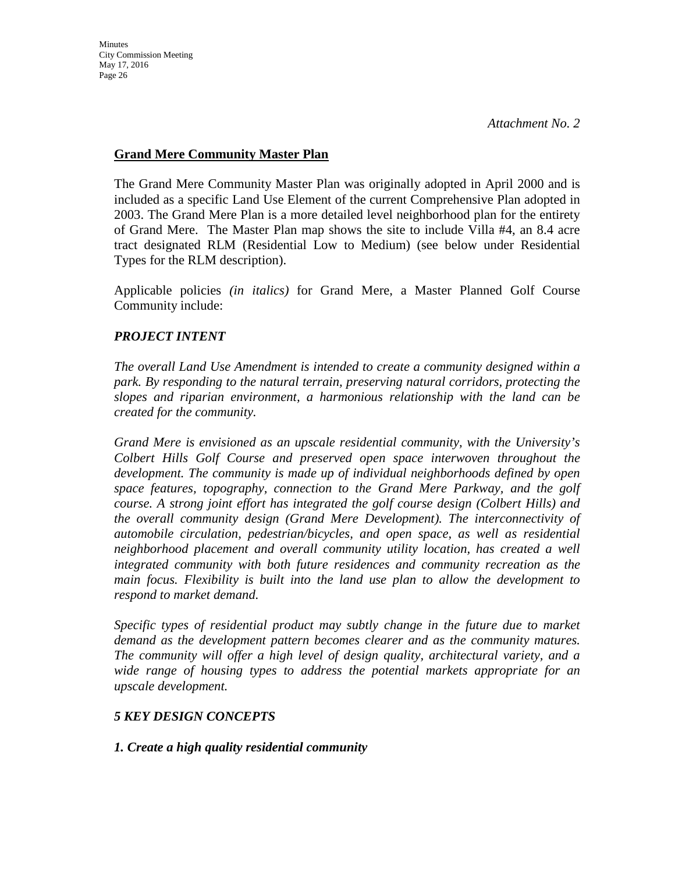## **Grand Mere Community Master Plan**

The Grand Mere Community Master Plan was originally adopted in April 2000 and is included as a specific Land Use Element of the current Comprehensive Plan adopted in 2003. The Grand Mere Plan is a more detailed level neighborhood plan for the entirety of Grand Mere. The Master Plan map shows the site to include Villa #4, an 8.4 acre tract designated RLM (Residential Low to Medium) (see below under Residential Types for the RLM description).

Applicable policies *(in italics)* for Grand Mere, a Master Planned Golf Course Community include:

## *PROJECT INTENT*

*The overall Land Use Amendment is intended to create a community designed within a park. By responding to the natural terrain, preserving natural corridors, protecting the slopes and riparian environment, a harmonious relationship with the land can be created for the community.*

*Grand Mere is envisioned as an upscale residential community, with the University's Colbert Hills Golf Course and preserved open space interwoven throughout the development. The community is made up of individual neighborhoods defined by open space features, topography, connection to the Grand Mere Parkway, and the golf course. A strong joint effort has integrated the golf course design (Colbert Hills) and the overall community design (Grand Mere Development). The interconnectivity of automobile circulation, pedestrian/bicycles, and open space, as well as residential neighborhood placement and overall community utility location, has created a well integrated community with both future residences and community recreation as the main focus. Flexibility is built into the land use plan to allow the development to respond to market demand.*

*Specific types of residential product may subtly change in the future due to market demand as the development pattern becomes clearer and as the community matures. The community will offer a high level of design quality, architectural variety, and a wide range of housing types to address the potential markets appropriate for an upscale development.*

## *5 KEY DESIGN CONCEPTS*

## *1. Create a high quality residential community*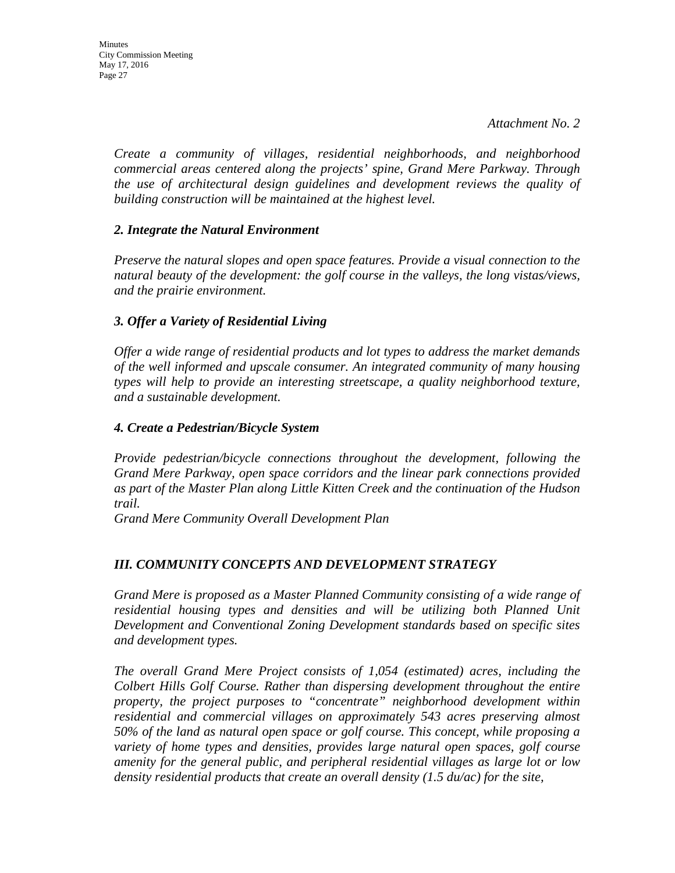*Create a community of villages, residential neighborhoods, and neighborhood commercial areas centered along the projects' spine, Grand Mere Parkway. Through the use of architectural design guidelines and development reviews the quality of building construction will be maintained at the highest level.*

### *2. Integrate the Natural Environment*

*Preserve the natural slopes and open space features. Provide a visual connection to the natural beauty of the development: the golf course in the valleys, the long vistas/views, and the prairie environment.*

### *3. Offer a Variety of Residential Living*

*Offer a wide range of residential products and lot types to address the market demands of the well informed and upscale consumer. An integrated community of many housing types will help to provide an interesting streetscape, a quality neighborhood texture, and a sustainable development.*

### *4. Create a Pedestrian/Bicycle System*

*Provide pedestrian/bicycle connections throughout the development, following the Grand Mere Parkway, open space corridors and the linear park connections provided as part of the Master Plan along Little Kitten Creek and the continuation of the Hudson trail.*

*Grand Mere Community Overall Development Plan* 

## *III. COMMUNITY CONCEPTS AND DEVELOPMENT STRATEGY*

*Grand Mere is proposed as a Master Planned Community consisting of a wide range of residential housing types and densities and will be utilizing both Planned Unit Development and Conventional Zoning Development standards based on specific sites and development types.*

*The overall Grand Mere Project consists of 1,054 (estimated) acres, including the Colbert Hills Golf Course. Rather than dispersing development throughout the entire property, the project purposes to "concentrate" neighborhood development within residential and commercial villages on approximately 543 acres preserving almost 50% of the land as natural open space or golf course. This concept, while proposing a variety of home types and densities, provides large natural open spaces, golf course amenity for the general public, and peripheral residential villages as large lot or low density residential products that create an overall density (1.5 du/ac) for the site,*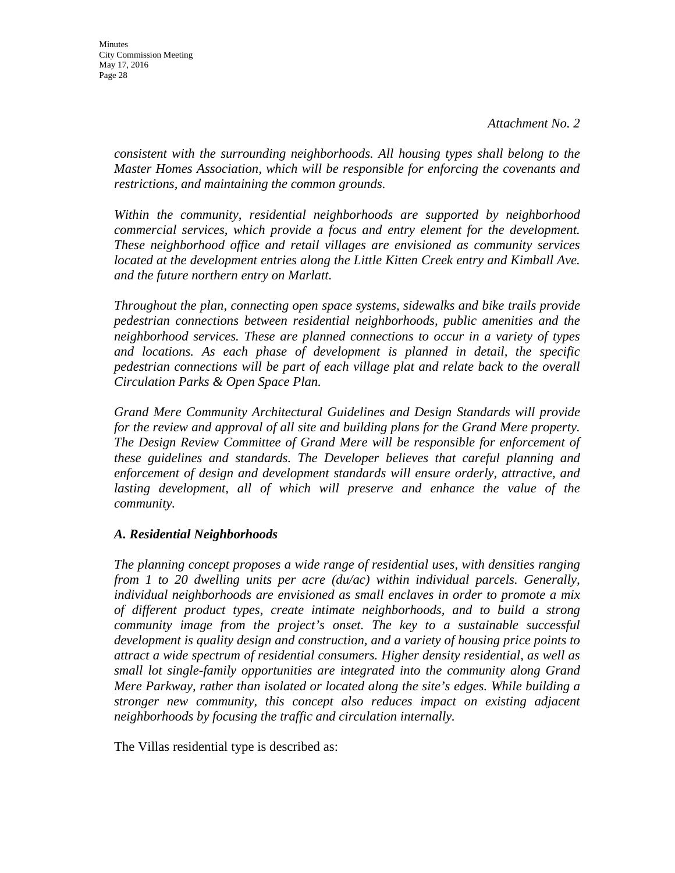*consistent with the surrounding neighborhoods. All housing types shall belong to the Master Homes Association, which will be responsible for enforcing the covenants and restrictions, and maintaining the common grounds.*

*Within the community, residential neighborhoods are supported by neighborhood commercial services, which provide a focus and entry element for the development. These neighborhood office and retail villages are envisioned as community services*  located at the development entries along the Little Kitten Creek entry and Kimball Ave. *and the future northern entry on Marlatt.*

*Throughout the plan, connecting open space systems, sidewalks and bike trails provide pedestrian connections between residential neighborhoods, public amenities and the neighborhood services. These are planned connections to occur in a variety of types and locations. As each phase of development is planned in detail, the specific pedestrian connections will be part of each village plat and relate back to the overall Circulation Parks & Open Space Plan.*

*Grand Mere Community Architectural Guidelines and Design Standards will provide for the review and approval of all site and building plans for the Grand Mere property. The Design Review Committee of Grand Mere will be responsible for enforcement of these guidelines and standards. The Developer believes that careful planning and enforcement of design and development standards will ensure orderly, attractive, and*  lasting development, all of which will preserve and enhance the value of the *community.*

## *A. Residential Neighborhoods*

*The planning concept proposes a wide range of residential uses, with densities ranging from 1 to 20 dwelling units per acre (du/ac) within individual parcels. Generally, individual neighborhoods are envisioned as small enclaves in order to promote a mix of different product types, create intimate neighborhoods, and to build a strong community image from the project's onset. The key to a sustainable successful development is quality design and construction, and a variety of housing price points to attract a wide spectrum of residential consumers. Higher density residential, as well as small lot single-family opportunities are integrated into the community along Grand Mere Parkway, rather than isolated or located along the site's edges. While building a stronger new community, this concept also reduces impact on existing adjacent neighborhoods by focusing the traffic and circulation internally.*

The Villas residential type is described as: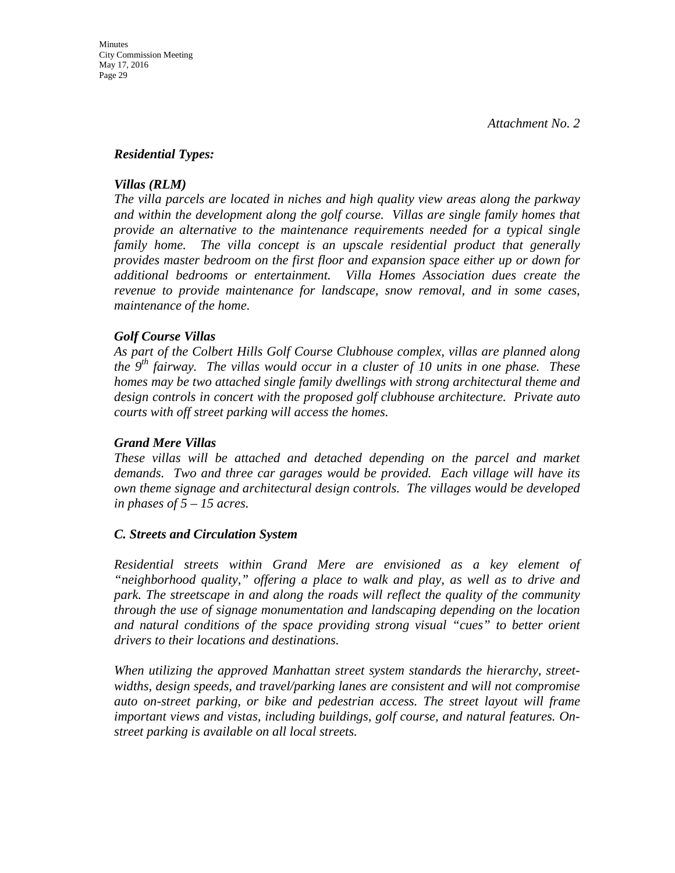#### *Residential Types:*

#### *Villas (RLM)*

*The villa parcels are located in niches and high quality view areas along the parkway and within the development along the golf course. Villas are single family homes that provide an alternative to the maintenance requirements needed for a typical single family home. The villa concept is an upscale residential product that generally provides master bedroom on the first floor and expansion space either up or down for additional bedrooms or entertainment. Villa Homes Association dues create the revenue to provide maintenance for landscape, snow removal, and in some cases, maintenance of the home.*

#### *Golf Course Villas*

*As part of the Colbert Hills Golf Course Clubhouse complex, villas are planned along the 9th fairway. The villas would occur in a cluster of 10 units in one phase. These homes may be two attached single family dwellings with strong architectural theme and design controls in concert with the proposed golf clubhouse architecture. Private auto courts with off street parking will access the homes.*

#### *Grand Mere Villas*

*These villas will be attached and detached depending on the parcel and market demands. Two and three car garages would be provided. Each village will have its own theme signage and architectural design controls. The villages would be developed in phases of 5 – 15 acres.*

#### *C. Streets and Circulation System*

*Residential streets within Grand Mere are envisioned as a key element of "neighborhood quality," offering a place to walk and play, as well as to drive and park. The streetscape in and along the roads will reflect the quality of the community through the use of signage monumentation and landscaping depending on the location and natural conditions of the space providing strong visual "cues" to better orient drivers to their locations and destinations.*

*When utilizing the approved Manhattan street system standards the hierarchy, streetwidths, design speeds, and travel/parking lanes are consistent and will not compromise auto on-street parking, or bike and pedestrian access. The street layout will frame important views and vistas, including buildings, golf course, and natural features. Onstreet parking is available on all local streets.*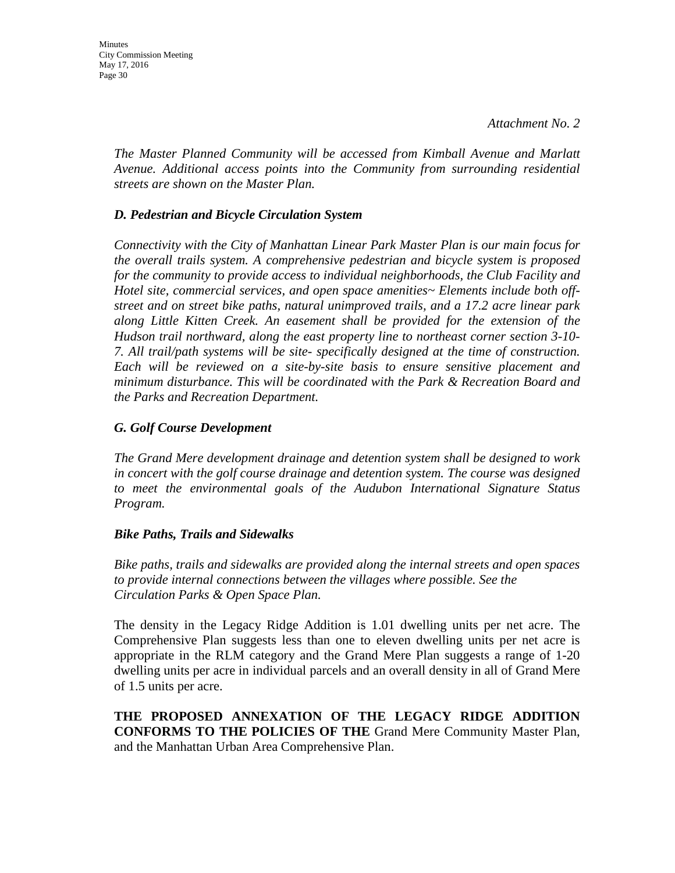*The Master Planned Community will be accessed from Kimball Avenue and Marlatt Avenue. Additional access points into the Community from surrounding residential streets are shown on the Master Plan.*

## *D. Pedestrian and Bicycle Circulation System*

*Connectivity with the City of Manhattan Linear Park Master Plan is our main focus for the overall trails system. A comprehensive pedestrian and bicycle system is proposed for the community to provide access to individual neighborhoods, the Club Facility and Hotel site, commercial services, and open space amenities~ Elements include both offstreet and on street bike paths, natural unimproved trails, and a 17.2 acre linear park along Little Kitten Creek. An easement shall be provided for the extension of the Hudson trail northward, along the east property line to northeast corner section 3-10- 7. All trail/path systems will be site- specifically designed at the time of construction. Each will be reviewed on a site-by-site basis to ensure sensitive placement and minimum disturbance. This will be coordinated with the Park & Recreation Board and the Parks and Recreation Department.*

### *G. Golf Course Development*

*The Grand Mere development drainage and detention system shall be designed to work in concert with the golf course drainage and detention system. The course was designed to meet the environmental goals of the Audubon International Signature Status Program.*

#### *Bike Paths, Trails and Sidewalks*

*Bike paths, trails and sidewalks are provided along the internal streets and open spaces to provide internal connections between the villages where possible. See the Circulation Parks & Open Space Plan.*

The density in the Legacy Ridge Addition is 1.01 dwelling units per net acre. The Comprehensive Plan suggests less than one to eleven dwelling units per net acre is appropriate in the RLM category and the Grand Mere Plan suggests a range of 1-20 dwelling units per acre in individual parcels and an overall density in all of Grand Mere of 1.5 units per acre.

**THE PROPOSED ANNEXATION OF THE LEGACY RIDGE ADDITION CONFORMS TO THE POLICIES OF THE** Grand Mere Community Master Plan, and the Manhattan Urban Area Comprehensive Plan.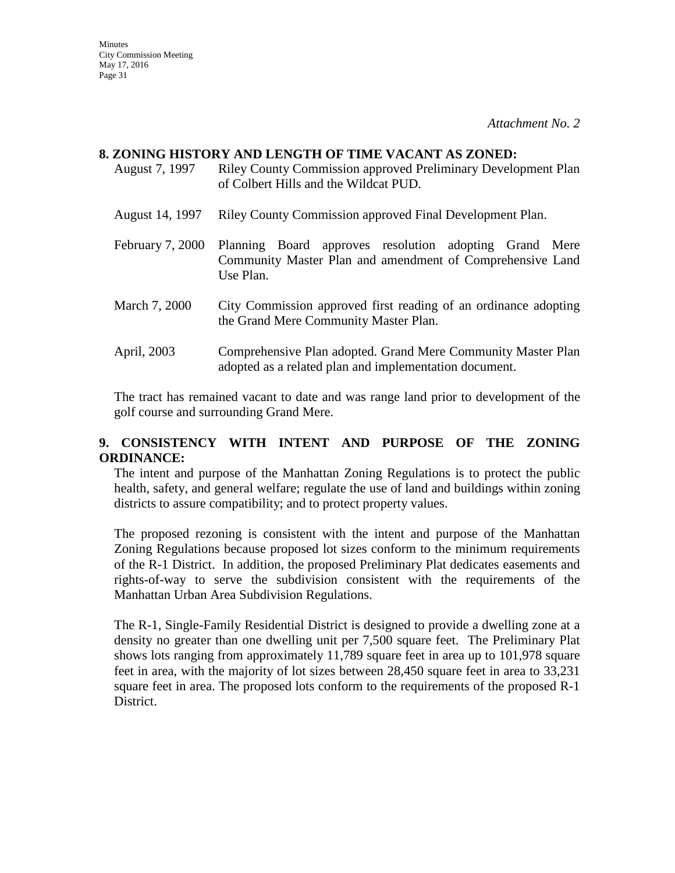#### **8. ZONING HISTORY AND LENGTH OF TIME VACANT AS ZONED:**

- August 7, 1997 Riley County Commission approved Preliminary Development Plan of Colbert Hills and the Wildcat PUD.
- August 14, 1997 Riley County Commission approved Final Development Plan.
- February 7, 2000 Planning Board approves resolution adopting Grand Mere Community Master Plan and amendment of Comprehensive Land Use Plan.
- March 7, 2000 City Commission approved first reading of an ordinance adopting the Grand Mere Community Master Plan.
- April, 2003 Comprehensive Plan adopted. Grand Mere Community Master Plan adopted as a related plan and implementation document.

The tract has remained vacant to date and was range land prior to development of the golf course and surrounding Grand Mere.

## **9. CONSISTENCY WITH INTENT AND PURPOSE OF THE ZONING ORDINANCE:**

The intent and purpose of the Manhattan Zoning Regulations is to protect the public health, safety, and general welfare; regulate the use of land and buildings within zoning districts to assure compatibility; and to protect property values.

The proposed rezoning is consistent with the intent and purpose of the Manhattan Zoning Regulations because proposed lot sizes conform to the minimum requirements of the R-1 District. In addition, the proposed Preliminary Plat dedicates easements and rights-of-way to serve the subdivision consistent with the requirements of the Manhattan Urban Area Subdivision Regulations.

The R-1, Single-Family Residential District is designed to provide a dwelling zone at a density no greater than one dwelling unit per 7,500 square feet. The Preliminary Plat shows lots ranging from approximately 11,789 square feet in area up to 101,978 square feet in area, with the majority of lot sizes between 28,450 square feet in area to 33,231 square feet in area. The proposed lots conform to the requirements of the proposed R-1 District.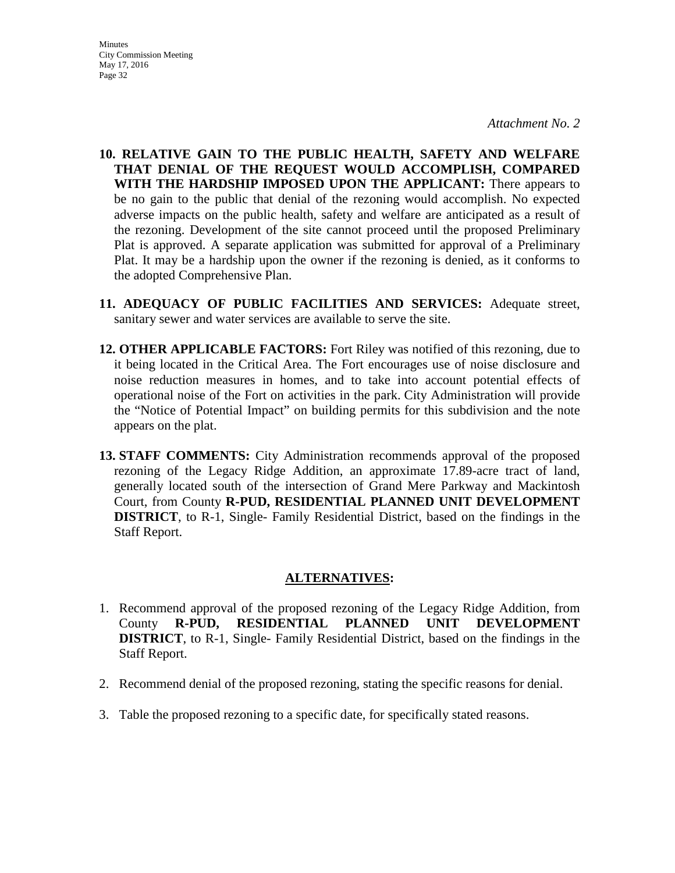- **10. RELATIVE GAIN TO THE PUBLIC HEALTH, SAFETY AND WELFARE THAT DENIAL OF THE REQUEST WOULD ACCOMPLISH, COMPARED WITH THE HARDSHIP IMPOSED UPON THE APPLICANT:** There appears to be no gain to the public that denial of the rezoning would accomplish. No expected adverse impacts on the public health, safety and welfare are anticipated as a result of the rezoning. Development of the site cannot proceed until the proposed Preliminary Plat is approved. A separate application was submitted for approval of a Preliminary Plat. It may be a hardship upon the owner if the rezoning is denied, as it conforms to the adopted Comprehensive Plan.
- **11. ADEQUACY OF PUBLIC FACILITIES AND SERVICES:** Adequate street, sanitary sewer and water services are available to serve the site.
- **12. OTHER APPLICABLE FACTORS:** Fort Riley was notified of this rezoning, due to it being located in the Critical Area. The Fort encourages use of noise disclosure and noise reduction measures in homes, and to take into account potential effects of operational noise of the Fort on activities in the park. City Administration will provide the "Notice of Potential Impact" on building permits for this subdivision and the note appears on the plat.
- **13. STAFF COMMENTS:** City Administration recommends approval of the proposed rezoning of the Legacy Ridge Addition, an approximate 17.89-acre tract of land, generally located south of the intersection of Grand Mere Parkway and Mackintosh Court, from County **R-PUD, RESIDENTIAL PLANNED UNIT DEVELOPMENT DISTRICT**, to R-1, Single- Family Residential District, based on the findings in the Staff Report.

#### **ALTERNATIVES:**

- 1. Recommend approval of the proposed rezoning of the Legacy Ridge Addition, from County **R-PUD, RESIDENTIAL PLANNED UNIT DEVELOPMENT DISTRICT**, to R-1, Single- Family Residential District, based on the findings in the Staff Report.
- 2. Recommend denial of the proposed rezoning, stating the specific reasons for denial.
- 3. Table the proposed rezoning to a specific date, for specifically stated reasons.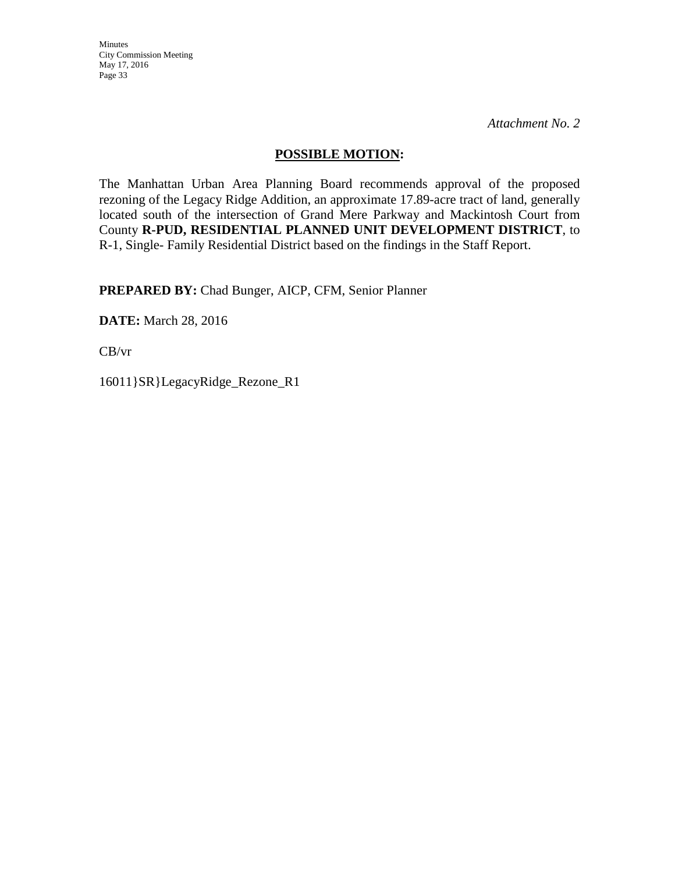Minutes City Commission Meeting May 17, 2016 Page 33

*Attachment No. 2*

## **POSSIBLE MOTION:**

The Manhattan Urban Area Planning Board recommends approval of the proposed rezoning of the Legacy Ridge Addition, an approximate 17.89-acre tract of land, generally located south of the intersection of Grand Mere Parkway and Mackintosh Court from County **R-PUD, RESIDENTIAL PLANNED UNIT DEVELOPMENT DISTRICT**, to R-1, Single- Family Residential District based on the findings in the Staff Report.

**PREPARED BY:** Chad Bunger, AICP, CFM, Senior Planner

**DATE:** March 28, 2016

CB/vr

16011}SR}LegacyRidge\_Rezone\_R1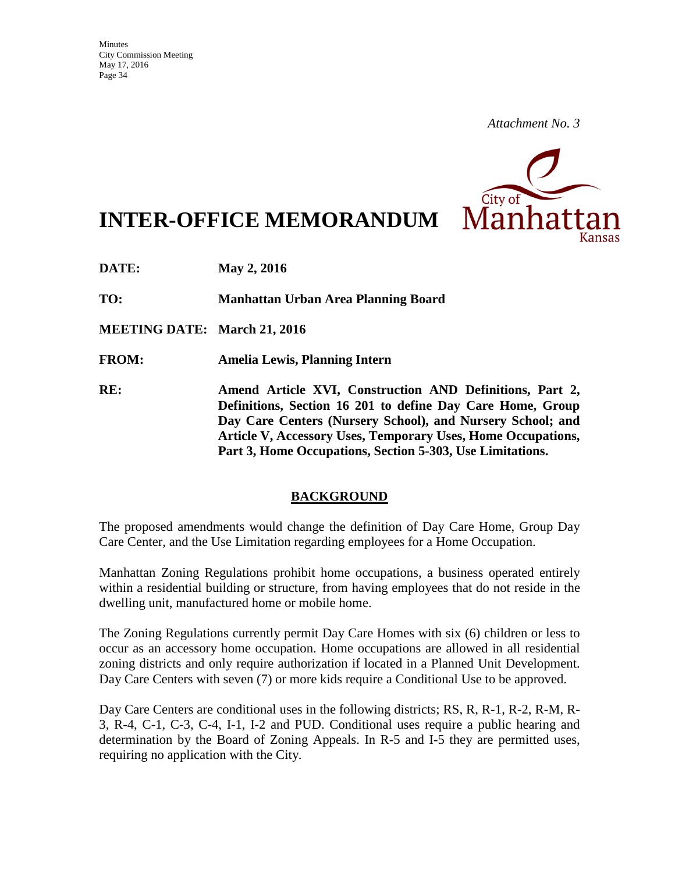

**INTER-OFFICE MEMORANDUM**

**DATE: May 2, 2016** 

**TO: Manhattan Urban Area Planning Board**

**MEETING DATE: March 21, 2016**

**FROM: Amelia Lewis, Planning Intern**

**RE: Amend Article XVI, Construction AND Definitions, Part 2, Definitions, Section 16 201 to define Day Care Home, Group Day Care Centers (Nursery School), and Nursery School; and Article V, Accessory Uses, Temporary Uses, Home Occupations, Part 3, Home Occupations, Section 5-303, Use Limitations.**

#### **BACKGROUND**

The proposed amendments would change the definition of Day Care Home, Group Day Care Center, and the Use Limitation regarding employees for a Home Occupation.

Manhattan Zoning Regulations prohibit home occupations, a business operated entirely within a residential building or structure, from having employees that do not reside in the dwelling unit, manufactured home or mobile home.

The Zoning Regulations currently permit Day Care Homes with six (6) children or less to occur as an accessory home occupation. Home occupations are allowed in all residential zoning districts and only require authorization if located in a Planned Unit Development. Day Care Centers with seven (7) or more kids require a Conditional Use to be approved.

Day Care Centers are conditional uses in the following districts; RS, R, R-1, R-2, R-M, R-3, R-4, C-1, C-3, C-4, I-1, I-2 and PUD. Conditional uses require a public hearing and determination by the Board of Zoning Appeals. In R-5 and I-5 they are permitted uses, requiring no application with the City.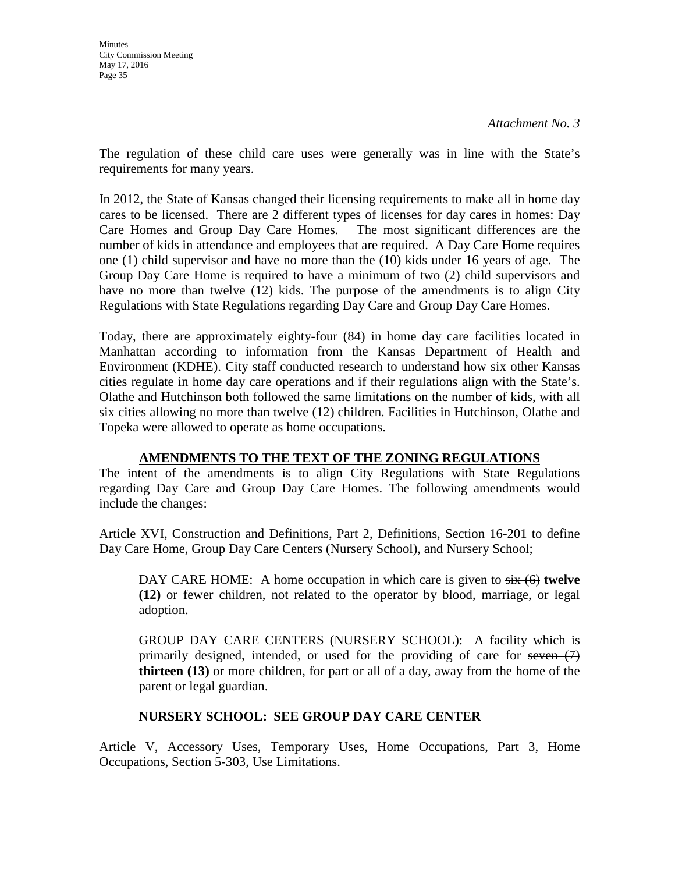The regulation of these child care uses were generally was in line with the State's requirements for many years.

In 2012, the State of Kansas changed their licensing requirements to make all in home day cares to be licensed. There are 2 different types of licenses for day cares in homes: Day Care Homes and Group Day Care Homes. The most significant differences are the number of kids in attendance and employees that are required. A Day Care Home requires one (1) child supervisor and have no more than the (10) kids under 16 years of age. The Group Day Care Home is required to have a minimum of two (2) child supervisors and have no more than twelve (12) kids. The purpose of the amendments is to align City Regulations with State Regulations regarding Day Care and Group Day Care Homes.

Today, there are approximately eighty-four (84) in home day care facilities located in Manhattan according to information from the Kansas Department of Health and Environment (KDHE). City staff conducted research to understand how six other Kansas cities regulate in home day care operations and if their regulations align with the State's. Olathe and Hutchinson both followed the same limitations on the number of kids, with all six cities allowing no more than twelve (12) children. Facilities in Hutchinson, Olathe and Topeka were allowed to operate as home occupations.

## **AMENDMENTS TO THE TEXT OF THE ZONING REGULATIONS**

The intent of the amendments is to align City Regulations with State Regulations regarding Day Care and Group Day Care Homes. The following amendments would include the changes:

Article XVI, Construction and Definitions, Part 2, Definitions, Section 16-201 to define Day Care Home, Group Day Care Centers (Nursery School), and Nursery School;

DAY CARE HOME: A home occupation in which care is given to  $s$ ix (6) **twelve (12)** or fewer children, not related to the operator by blood, marriage, or legal adoption.

GROUP DAY CARE CENTERS (NURSERY SCHOOL): A facility which is primarily designed, intended, or used for the providing of care for seven  $(7)$ **thirteen (13)** or more children, for part or all of a day, away from the home of the parent or legal guardian.

## **NURSERY SCHOOL: SEE GROUP DAY CARE CENTER**

Article V, Accessory Uses, Temporary Uses, Home Occupations, Part 3, Home Occupations, Section 5-303, Use Limitations.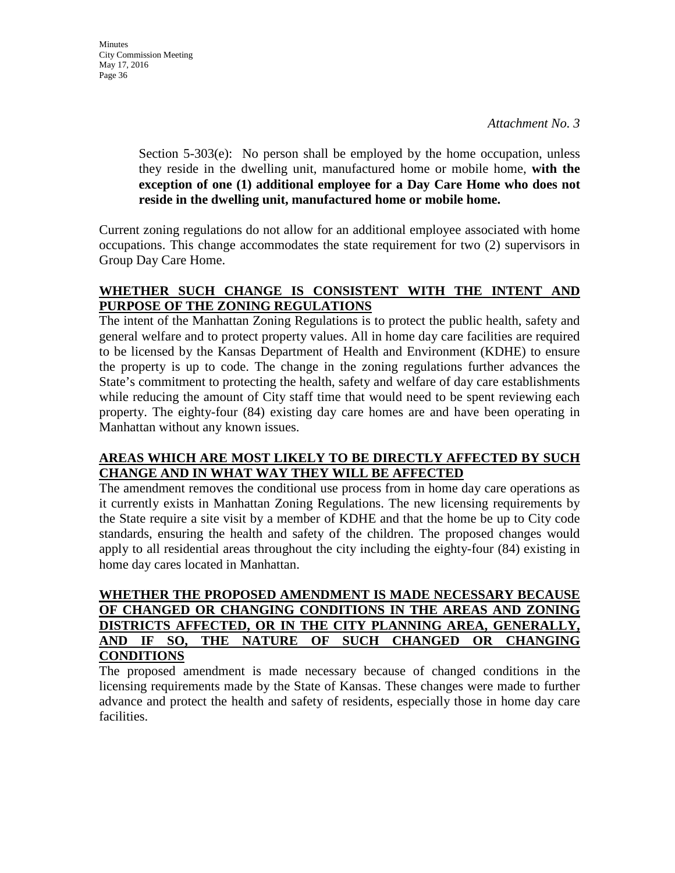Section 5-303(e): No person shall be employed by the home occupation, unless they reside in the dwelling unit, manufactured home or mobile home, **with the exception of one (1) additional employee for a Day Care Home who does not reside in the dwelling unit, manufactured home or mobile home.**

Current zoning regulations do not allow for an additional employee associated with home occupations. This change accommodates the state requirement for two (2) supervisors in Group Day Care Home.

## **WHETHER SUCH CHANGE IS CONSISTENT WITH THE INTENT AND PURPOSE OF THE ZONING REGULATIONS**

The intent of the Manhattan Zoning Regulations is to protect the public health, safety and general welfare and to protect property values. All in home day care facilities are required to be licensed by the Kansas Department of Health and Environment (KDHE) to ensure the property is up to code. The change in the zoning regulations further advances the State's commitment to protecting the health, safety and welfare of day care establishments while reducing the amount of City staff time that would need to be spent reviewing each property. The eighty-four (84) existing day care homes are and have been operating in Manhattan without any known issues.

## **AREAS WHICH ARE MOST LIKELY TO BE DIRECTLY AFFECTED BY SUCH CHANGE AND IN WHAT WAY THEY WILL BE AFFECTED**

The amendment removes the conditional use process from in home day care operations as it currently exists in Manhattan Zoning Regulations. The new licensing requirements by the State require a site visit by a member of KDHE and that the home be up to City code standards, ensuring the health and safety of the children. The proposed changes would apply to all residential areas throughout the city including the eighty-four (84) existing in home day cares located in Manhattan.

## **WHETHER THE PROPOSED AMENDMENT IS MADE NECESSARY BECAUSE OF CHANGED OR CHANGING CONDITIONS IN THE AREAS AND ZONING DISTRICTS AFFECTED, OR IN THE CITY PLANNING AREA, GENERALLY, AND IF SO, THE NATURE OF SUCH CHANGED OR CHANGING CONDITIONS**

The proposed amendment is made necessary because of changed conditions in the licensing requirements made by the State of Kansas. These changes were made to further advance and protect the health and safety of residents, especially those in home day care facilities.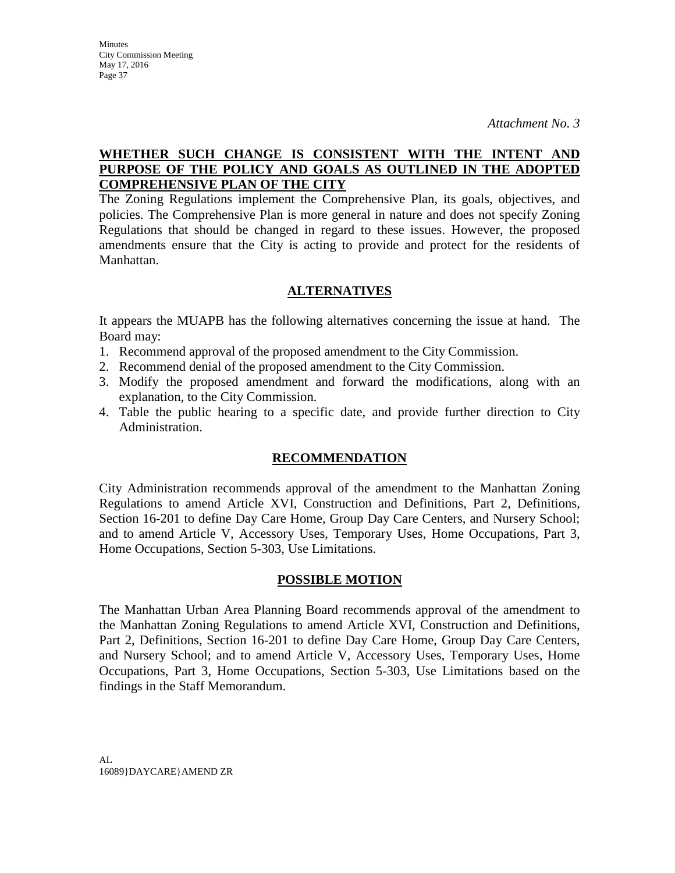# **WHETHER SUCH CHANGE IS CONSISTENT WITH THE INTENT AND PURPOSE OF THE POLICY AND GOALS AS OUTLINED IN THE ADOPTED COMPREHENSIVE PLAN OF THE CITY**

The Zoning Regulations implement the Comprehensive Plan, its goals, objectives, and policies. The Comprehensive Plan is more general in nature and does not specify Zoning Regulations that should be changed in regard to these issues. However, the proposed amendments ensure that the City is acting to provide and protect for the residents of Manhattan.

### **ALTERNATIVES**

It appears the MUAPB has the following alternatives concerning the issue at hand. The Board may:

- 1. Recommend approval of the proposed amendment to the City Commission.
- 2. Recommend denial of the proposed amendment to the City Commission.
- 3. Modify the proposed amendment and forward the modifications, along with an explanation, to the City Commission.
- 4. Table the public hearing to a specific date, and provide further direction to City Administration.

#### **RECOMMENDATION**

City Administration recommends approval of the amendment to the Manhattan Zoning Regulations to amend Article XVI, Construction and Definitions, Part 2, Definitions, Section 16-201 to define Day Care Home, Group Day Care Centers, and Nursery School; and to amend Article V, Accessory Uses, Temporary Uses, Home Occupations, Part 3, Home Occupations, Section 5-303, Use Limitations.

#### **POSSIBLE MOTION**

The Manhattan Urban Area Planning Board recommends approval of the amendment to the Manhattan Zoning Regulations to amend Article XVI, Construction and Definitions, Part 2, Definitions, Section 16-201 to define Day Care Home, Group Day Care Centers, and Nursery School; and to amend Article V, Accessory Uses, Temporary Uses, Home Occupations, Part 3, Home Occupations, Section 5-303, Use Limitations based on the findings in the Staff Memorandum.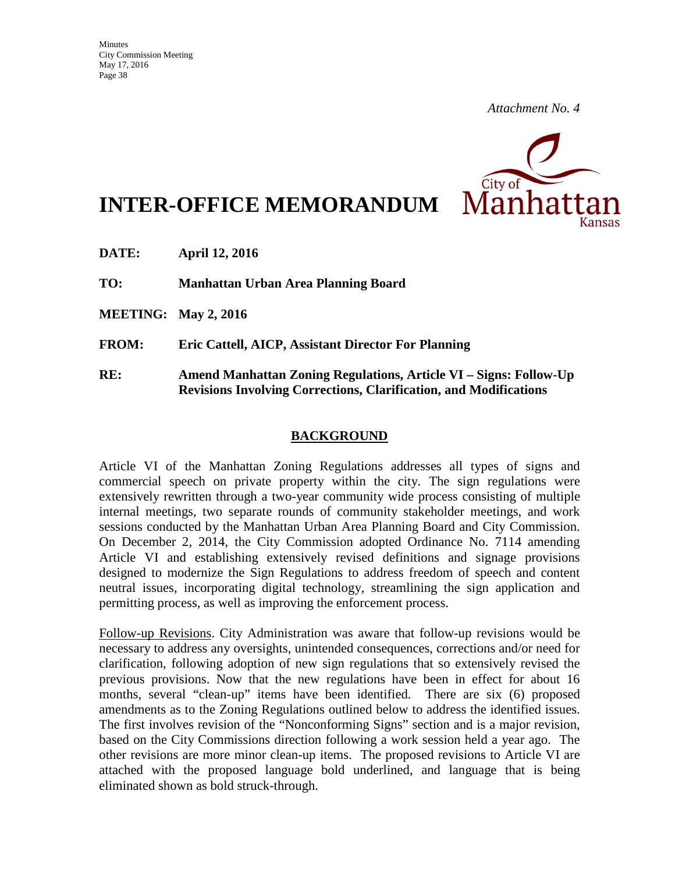

**INTER-OFFICE MEMORANDUM**

**DATE: April 12, 2016** 

**TO: Manhattan Urban Area Planning Board** 

**MEETING: May 2, 2016**

**FROM: Eric Cattell, AICP, Assistant Director For Planning**

**RE: Amend Manhattan Zoning Regulations, Article VI – Signs: Follow-Up Revisions Involving Corrections, Clarification, and Modifications**

### **BACKGROUND**

Article VI of the Manhattan Zoning Regulations addresses all types of signs and commercial speech on private property within the city. The sign regulations were extensively rewritten through a two-year community wide process consisting of multiple internal meetings, two separate rounds of community stakeholder meetings, and work sessions conducted by the Manhattan Urban Area Planning Board and City Commission. On December 2, 2014, the City Commission adopted Ordinance No. 7114 amending Article VI and establishing extensively revised definitions and signage provisions designed to modernize the Sign Regulations to address freedom of speech and content neutral issues, incorporating digital technology, streamlining the sign application and permitting process, as well as improving the enforcement process.

Follow-up Revisions. City Administration was aware that follow-up revisions would be necessary to address any oversights, unintended consequences, corrections and/or need for clarification, following adoption of new sign regulations that so extensively revised the previous provisions. Now that the new regulations have been in effect for about 16 months, several "clean-up" items have been identified. There are six (6) proposed amendments as to the Zoning Regulations outlined below to address the identified issues. The first involves revision of the "Nonconforming Signs" section and is a major revision, based on the City Commissions direction following a work session held a year ago. The other revisions are more minor clean-up items. The proposed revisions to Article VI are attached with the proposed language bold underlined, and language that is being eliminated shown as bold struck-through.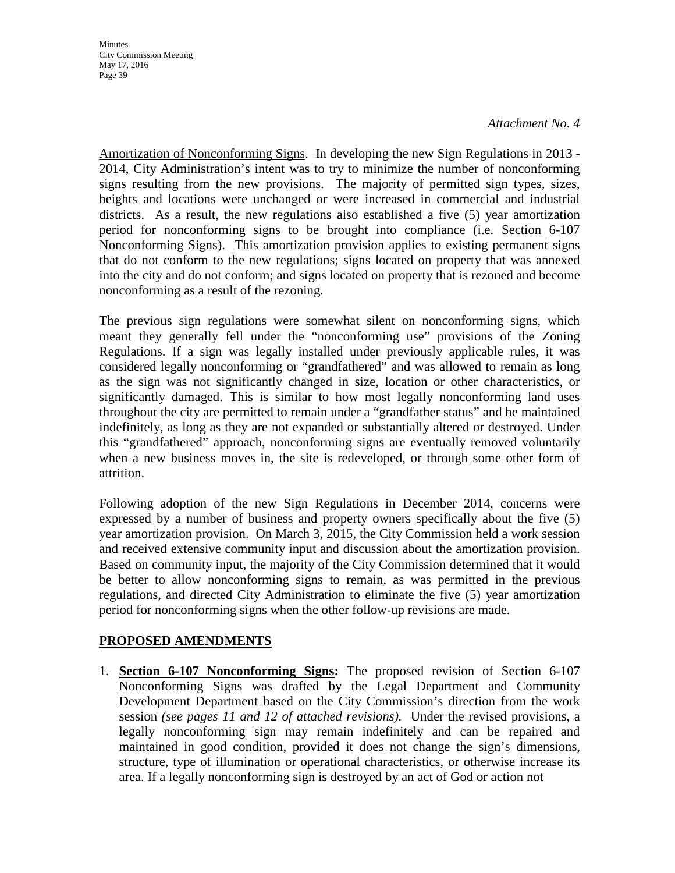**Minutes** City Commission Meeting May 17, 2016 Page 39

Amortization of Nonconforming Signs. In developing the new Sign Regulations in 2013 - 2014, City Administration's intent was to try to minimize the number of nonconforming signs resulting from the new provisions. The majority of permitted sign types, sizes, heights and locations were unchanged or were increased in commercial and industrial districts. As a result, the new regulations also established a five (5) year amortization period for nonconforming signs to be brought into compliance (i.e. Section 6-107 Nonconforming Signs). This amortization provision applies to existing permanent signs that do not conform to the new regulations; signs located on property that was annexed into the city and do not conform; and signs located on property that is rezoned and become nonconforming as a result of the rezoning.

The previous sign regulations were somewhat silent on nonconforming signs, which meant they generally fell under the "nonconforming use" provisions of the Zoning Regulations. If a sign was legally installed under previously applicable rules, it was considered legally nonconforming or "grandfathered" and was allowed to remain as long as the sign was not significantly changed in size, location or other characteristics, or significantly damaged. This is similar to how most legally nonconforming land uses throughout the city are permitted to remain under a "grandfather status" and be maintained indefinitely, as long as they are not expanded or substantially altered or destroyed. Under this "grandfathered" approach, nonconforming signs are eventually removed voluntarily when a new business moves in, the site is redeveloped, or through some other form of attrition.

Following adoption of the new Sign Regulations in December 2014, concerns were expressed by a number of business and property owners specifically about the five (5) year amortization provision. On March 3, 2015, the City Commission held a work session and received extensive community input and discussion about the amortization provision. Based on community input, the majority of the City Commission determined that it would be better to allow nonconforming signs to remain, as was permitted in the previous regulations, and directed City Administration to eliminate the five (5) year amortization period for nonconforming signs when the other follow-up revisions are made.

## **PROPOSED AMENDMENTS**

1. **Section 6-107 Nonconforming Signs:** The proposed revision of Section 6-107 Nonconforming Signs was drafted by the Legal Department and Community Development Department based on the City Commission's direction from the work session *(see pages 11 and 12 of attached revisions).* Under the revised provisions, a legally nonconforming sign may remain indefinitely and can be repaired and maintained in good condition, provided it does not change the sign's dimensions, structure, type of illumination or operational characteristics, or otherwise increase its area. If a legally nonconforming sign is destroyed by an act of God or action not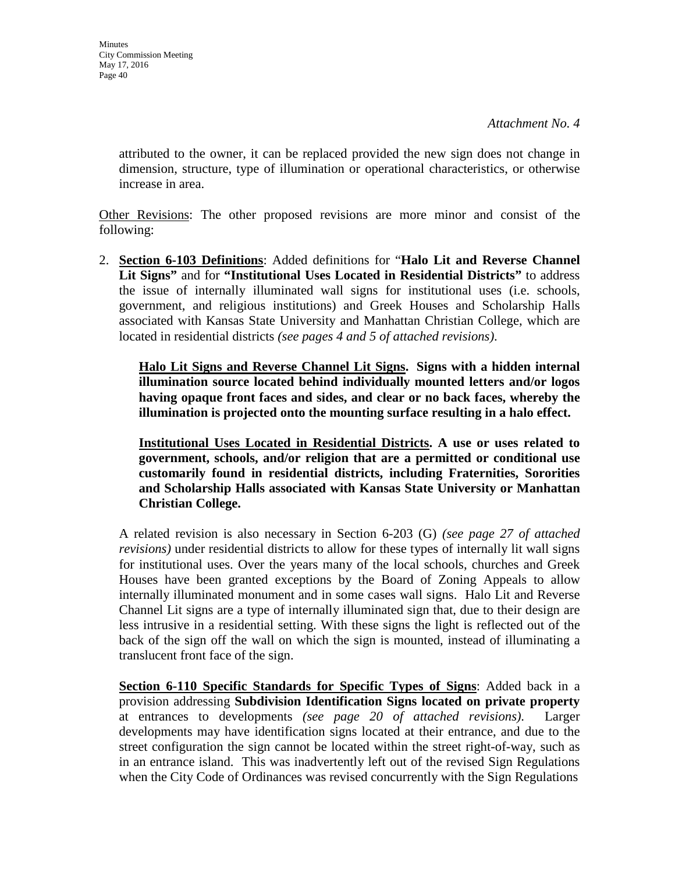attributed to the owner, it can be replaced provided the new sign does not change in dimension, structure, type of illumination or operational characteristics, or otherwise increase in area.

Other Revisions: The other proposed revisions are more minor and consist of the following:

2. **Section 6-103 Definitions**: Added definitions for "**Halo Lit and Reverse Channel Lit Signs"** and for **"Institutional Uses Located in Residential Districts"** to address the issue of internally illuminated wall signs for institutional uses (i.e. schools, government, and religious institutions) and Greek Houses and Scholarship Halls associated with Kansas State University and Manhattan Christian College, which are located in residential districts *(see pages 4 and 5 of attached revisions)*.

**Halo Lit Signs and Reverse Channel Lit Signs. Signs with a hidden internal illumination source located behind individually mounted letters and/or logos having opaque front faces and sides, and clear or no back faces, whereby the illumination is projected onto the mounting surface resulting in a halo effect.**

**Institutional Uses Located in Residential Districts. A use or uses related to government, schools, and/or religion that are a permitted or conditional use customarily found in residential districts, including Fraternities, Sororities and Scholarship Halls associated with Kansas State University or Manhattan Christian College.**

A related revision is also necessary in Section 6-203 (G) *(see page 27 of attached revisions)* under residential districts to allow for these types of internally lit wall signs for institutional uses. Over the years many of the local schools, churches and Greek Houses have been granted exceptions by the Board of Zoning Appeals to allow internally illuminated monument and in some cases wall signs. Halo Lit and Reverse Channel Lit signs are a type of internally illuminated sign that, due to their design are less intrusive in a residential setting. With these signs the light is reflected out of the back of the sign off the wall on which the sign is mounted, instead of illuminating a translucent front face of the sign.

**Section 6-110 Specific Standards for Specific Types of Signs**: Added back in a provision addressing **Subdivision Identification Signs located on private property** at entrances to developments *(see page 20 of attached revisions)*. Larger developments may have identification signs located at their entrance, and due to the street configuration the sign cannot be located within the street right-of-way, such as in an entrance island. This was inadvertently left out of the revised Sign Regulations when the City Code of Ordinances was revised concurrently with the Sign Regulations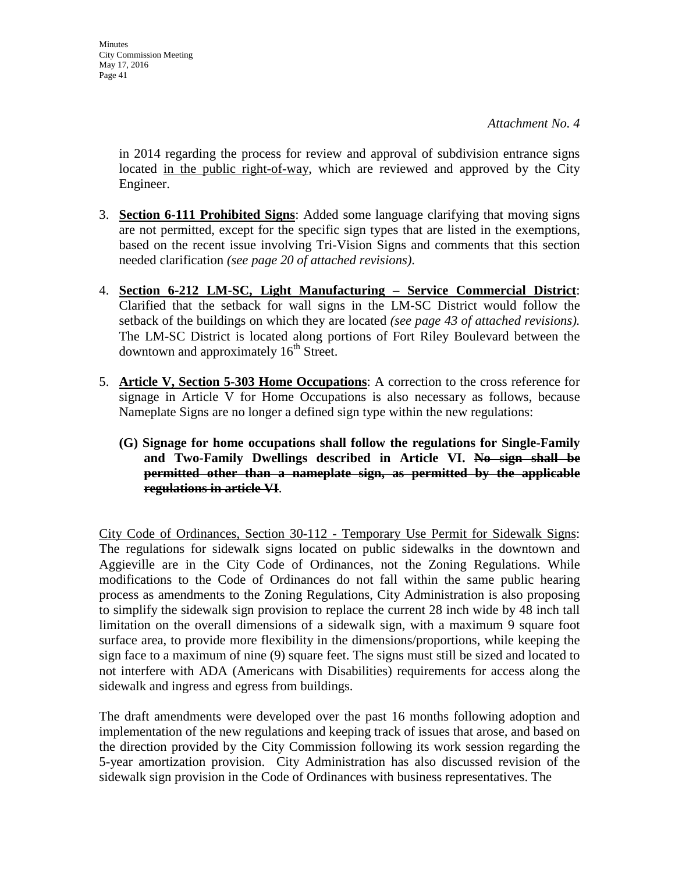in 2014 regarding the process for review and approval of subdivision entrance signs located in the public right-of-way, which are reviewed and approved by the City Engineer.

- 3. **Section 6-111 Prohibited Signs**: Added some language clarifying that moving signs are not permitted, except for the specific sign types that are listed in the exemptions, based on the recent issue involving Tri-Vision Signs and comments that this section needed clarification *(see page 20 of attached revisions)*.
- 4. **Section 6-212 LM-SC, Light Manufacturing – Service Commercial District**: Clarified that the setback for wall signs in the LM-SC District would follow the setback of the buildings on which they are located *(see page 43 of attached revisions).*  The LM-SC District is located along portions of Fort Riley Boulevard between the downtown and approximately  $16<sup>th</sup>$  Street.
- 5. **Article V, Section 5-303 Home Occupations**: A correction to the cross reference for signage in Article V for Home Occupations is also necessary as follows, because Nameplate Signs are no longer a defined sign type within the new regulations:
	- **(G) Signage for home occupations shall follow the regulations for Single-Family and Two-Family Dwellings described in Article VI. No sign shall be permitted other than a nameplate sign, as permitted by the applicable regulations in article VI**.

City Code of Ordinances, Section 30-112 - Temporary Use Permit for Sidewalk Signs: The regulations for sidewalk signs located on public sidewalks in the downtown and Aggieville are in the City Code of Ordinances, not the Zoning Regulations. While modifications to the Code of Ordinances do not fall within the same public hearing process as amendments to the Zoning Regulations, City Administration is also proposing to simplify the sidewalk sign provision to replace the current 28 inch wide by 48 inch tall limitation on the overall dimensions of a sidewalk sign, with a maximum 9 square foot surface area, to provide more flexibility in the dimensions/proportions, while keeping the sign face to a maximum of nine (9) square feet. The signs must still be sized and located to not interfere with ADA (Americans with Disabilities) requirements for access along the sidewalk and ingress and egress from buildings.

The draft amendments were developed over the past 16 months following adoption and implementation of the new regulations and keeping track of issues that arose, and based on the direction provided by the City Commission following its work session regarding the 5-year amortization provision. City Administration has also discussed revision of the sidewalk sign provision in the Code of Ordinances with business representatives. The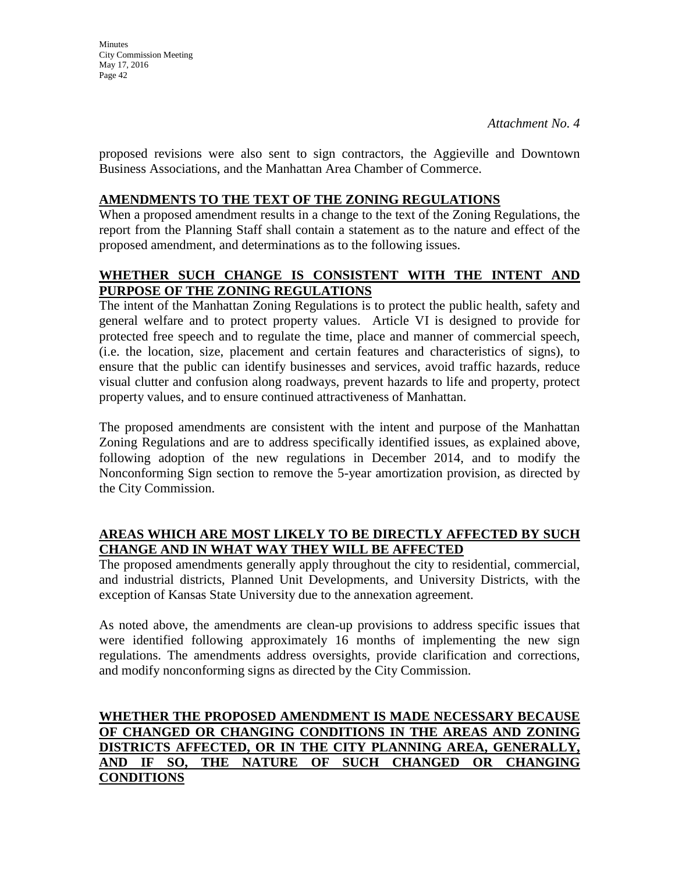proposed revisions were also sent to sign contractors, the Aggieville and Downtown Business Associations, and the Manhattan Area Chamber of Commerce.

## **AMENDMENTS TO THE TEXT OF THE ZONING REGULATIONS**

When a proposed amendment results in a change to the text of the Zoning Regulations, the report from the Planning Staff shall contain a statement as to the nature and effect of the proposed amendment, and determinations as to the following issues.

## **WHETHER SUCH CHANGE IS CONSISTENT WITH THE INTENT AND PURPOSE OF THE ZONING REGULATIONS**

The intent of the Manhattan Zoning Regulations is to protect the public health, safety and general welfare and to protect property values. Article VI is designed to provide for protected free speech and to regulate the time, place and manner of commercial speech, (i.e. the location, size, placement and certain features and characteristics of signs), to ensure that the public can identify businesses and services, avoid traffic hazards, reduce visual clutter and confusion along roadways, prevent hazards to life and property, protect property values, and to ensure continued attractiveness of Manhattan.

The proposed amendments are consistent with the intent and purpose of the Manhattan Zoning Regulations and are to address specifically identified issues, as explained above, following adoption of the new regulations in December 2014, and to modify the Nonconforming Sign section to remove the 5-year amortization provision, as directed by the City Commission.

## **AREAS WHICH ARE MOST LIKELY TO BE DIRECTLY AFFECTED BY SUCH CHANGE AND IN WHAT WAY THEY WILL BE AFFECTED**

The proposed amendments generally apply throughout the city to residential, commercial, and industrial districts, Planned Unit Developments, and University Districts, with the exception of Kansas State University due to the annexation agreement.

As noted above, the amendments are clean-up provisions to address specific issues that were identified following approximately 16 months of implementing the new sign regulations. The amendments address oversights, provide clarification and corrections, and modify nonconforming signs as directed by the City Commission.

## **WHETHER THE PROPOSED AMENDMENT IS MADE NECESSARY BECAUSE OF CHANGED OR CHANGING CONDITIONS IN THE AREAS AND ZONING DISTRICTS AFFECTED, OR IN THE CITY PLANNING AREA, GENERALLY, AND IF SO, THE NATURE OF SUCH CHANGED OR CHANGING CONDITIONS**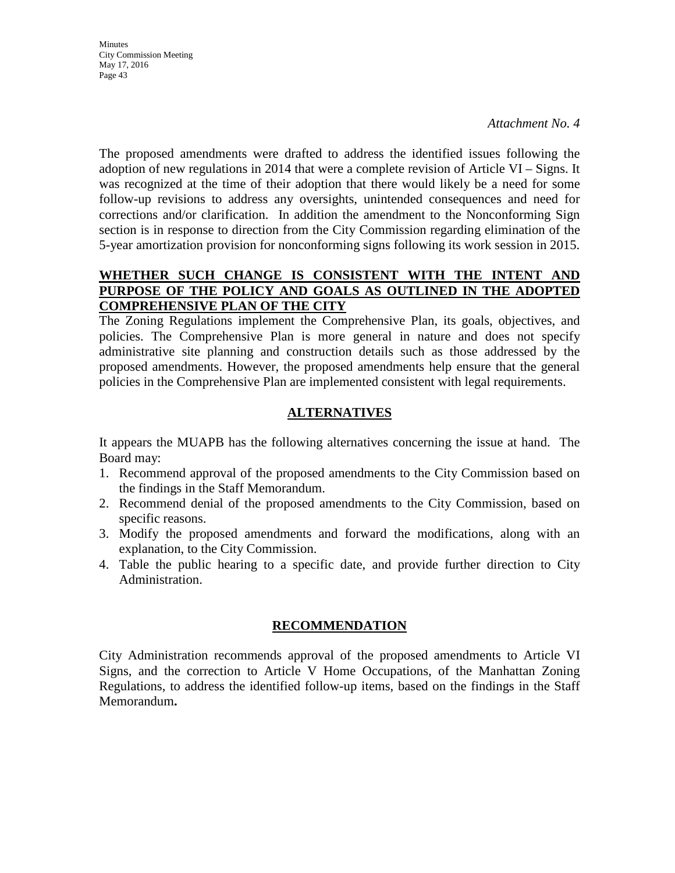**Minutes** City Commission Meeting May 17, 2016 Page 43

*Attachment No. 4*

The proposed amendments were drafted to address the identified issues following the adoption of new regulations in 2014 that were a complete revision of Article VI – Signs. It was recognized at the time of their adoption that there would likely be a need for some follow-up revisions to address any oversights, unintended consequences and need for corrections and/or clarification. In addition the amendment to the Nonconforming Sign section is in response to direction from the City Commission regarding elimination of the 5-year amortization provision for nonconforming signs following its work session in 2015.

## **WHETHER SUCH CHANGE IS CONSISTENT WITH THE INTENT AND PURPOSE OF THE POLICY AND GOALS AS OUTLINED IN THE ADOPTED COMPREHENSIVE PLAN OF THE CITY**

The Zoning Regulations implement the Comprehensive Plan, its goals, objectives, and policies. The Comprehensive Plan is more general in nature and does not specify administrative site planning and construction details such as those addressed by the proposed amendments. However, the proposed amendments help ensure that the general policies in the Comprehensive Plan are implemented consistent with legal requirements.

## **ALTERNATIVES**

It appears the MUAPB has the following alternatives concerning the issue at hand. The Board may:

- 1. Recommend approval of the proposed amendments to the City Commission based on the findings in the Staff Memorandum.
- 2. Recommend denial of the proposed amendments to the City Commission, based on specific reasons.
- 3. Modify the proposed amendments and forward the modifications, along with an explanation, to the City Commission.
- 4. Table the public hearing to a specific date, and provide further direction to City Administration.

## **RECOMMENDATION**

City Administration recommends approval of the proposed amendments to Article VI Signs, and the correction to Article V Home Occupations, of the Manhattan Zoning Regulations, to address the identified follow-up items, based on the findings in the Staff Memorandum**.**